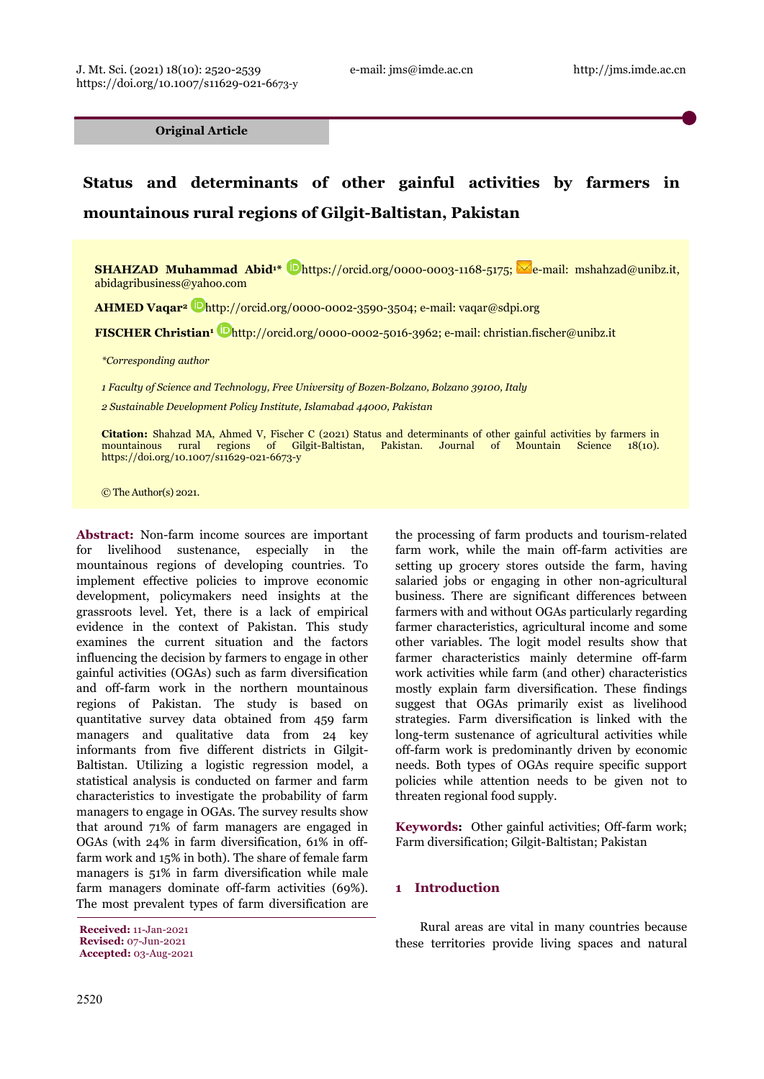**Original Article**

# **Status and determinants of other gainful activities by farmers in mountainous rural regions of Gilgit-Baltistan, Pakistan**

**SHAHZAD Muhammad Abid<sup>1\*</sup> Dhttps://orcid.org/0000-0003-1168-5175; e-mail: mshahzad@unibz.it,** abidagribusiness@yahoo.com

**AHMED Vaqar2** http://orcid.org/0000-0002-3590-3504; e-mail: vaqar@sdpi.org

**FISCHER Christian1** http://orcid.org/0000-0002-5016-3962; e-mail: christian.fischer@unibz.it

*\*Corresponding author*

*1 Faculty of Science and Technology, Free University of Bozen-Bolzano, Bolzano 39100, Italy* 

*2 Sustainable Development Policy Institute, Islamabad 44000, Pakistan* 

**Citation:** Shahzad MA, Ahmed V, Fischer C (2021) Status and determinants of other gainful activities by farmers in mountainous rural regions of Gilgit-Baltistan, Pakistan. Journal of Mountain Science 18(10). https://doi.org/10.1007/s11629-021-6673-y

© The Author(s) 2021.

**Abstract:** Non-farm income sources are important for livelihood sustenance, especially in the mountainous regions of developing countries. To implement effective policies to improve economic development, policymakers need insights at the grassroots level. Yet, there is a lack of empirical evidence in the context of Pakistan. This study examines the current situation and the factors influencing the decision by farmers to engage in other gainful activities (OGAs) such as farm diversification and off-farm work in the northern mountainous regions of Pakistan. The study is based on quantitative survey data obtained from 459 farm managers and qualitative data from 24 key informants from five different districts in Gilgit-Baltistan. Utilizing a logistic regression model, a statistical analysis is conducted on farmer and farm characteristics to investigate the probability of farm managers to engage in OGAs. The survey results show that around 71% of farm managers are engaged in OGAs (with 24% in farm diversification, 61% in offfarm work and 15% in both). The share of female farm managers is 51% in farm diversification while male farm managers dominate off-farm activities (69%). The most prevalent types of farm diversification are

**Received:** 11-Jan-2021 **Revised:** 07-Jun-2021

**Accepted:** 03-Aug-2021

the processing of farm products and tourism-related farm work, while the main off-farm activities are setting up grocery stores outside the farm, having salaried jobs or engaging in other non-agricultural business. There are significant differences between farmers with and without OGAs particularly regarding farmer characteristics, agricultural income and some other variables. The logit model results show that farmer characteristics mainly determine off-farm work activities while farm (and other) characteristics mostly explain farm diversification. These findings suggest that OGAs primarily exist as livelihood strategies. Farm diversification is linked with the long-term sustenance of agricultural activities while off-farm work is predominantly driven by economic needs. Both types of OGAs require specific support policies while attention needs to be given not to threaten regional food supply.

**Keywords:** Other gainful activities; Off-farm work; Farm diversification; Gilgit-Baltistan; Pakistan

## **1 Introduction**

Rural areas are vital in many countries because these territories provide living spaces and natural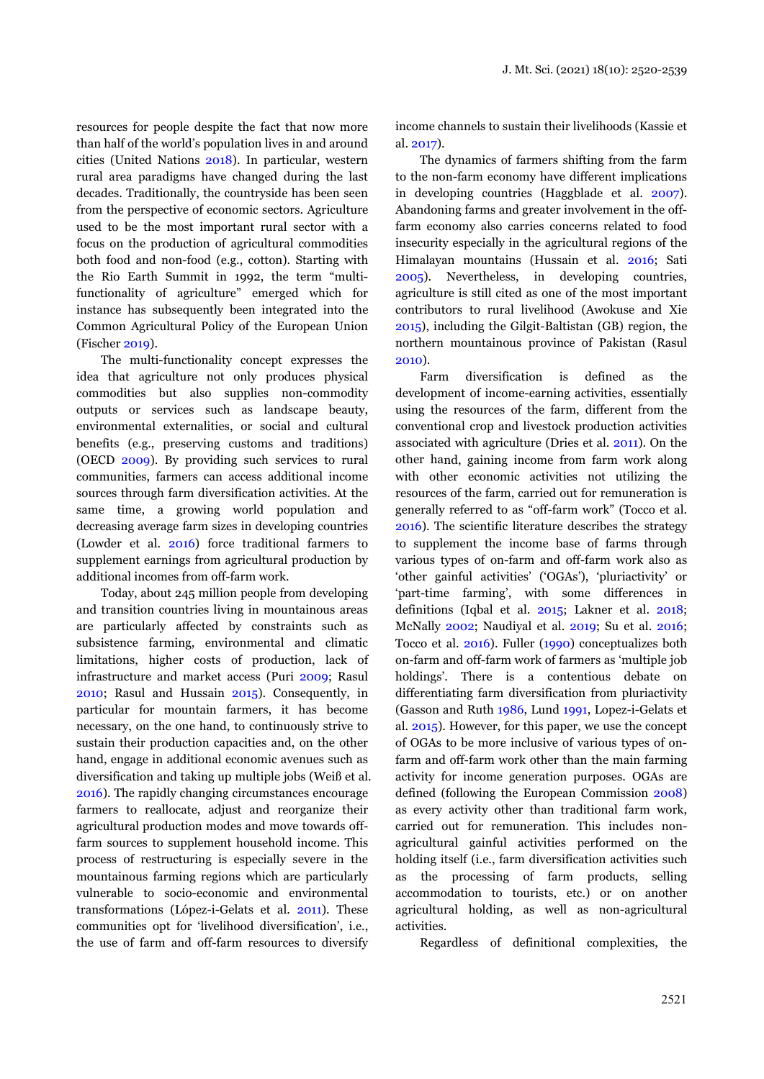resources for people despite the fact that now more than half of the world's population lives in and around cities (United Nations 2018). In particular, western rural area paradigms have changed during the last decades. Traditionally, the countryside has been seen from the perspective of economic sectors. Agriculture used to be the most important rural sector with a focus on the production of agricultural commodities both food and non-food (e.g., cotton). Starting with the Rio Earth Summit in 1992, the term "multifunctionality of agriculture" emerged which for instance has subsequently been integrated into the Common Agricultural Policy of the European Union (Fischer 2019).

The multi-functionality concept expresses the idea that agriculture not only produces physical commodities but also supplies non-commodity outputs or services such as landscape beauty, environmental externalities, or social and cultural benefits (e.g., preserving customs and traditions) (OECD 2009). By providing such services to rural communities, farmers can access additional income sources through farm diversification activities. At the same time, a growing world population and decreasing average farm sizes in developing countries (Lowder et al. 2016) force traditional farmers to supplement earnings from agricultural production by additional incomes from off-farm work.

Today, about 245 million people from developing and transition countries living in mountainous areas are particularly affected by constraints such as subsistence farming, environmental and climatic limitations, higher costs of production, lack of infrastructure and market access (Puri 2009; Rasul 2010; Rasul and Hussain 2015). Consequently, in particular for mountain farmers, it has become necessary, on the one hand, to continuously strive to sustain their production capacities and, on the other hand, engage in additional economic avenues such as diversification and taking up multiple jobs (Weiß et al. 2016). The rapidly changing circumstances encourage farmers to reallocate, adjust and reorganize their agricultural production modes and move towards offfarm sources to supplement household income. This process of restructuring is especially severe in the mountainous farming regions which are particularly vulnerable to socio-economic and environmental transformations (López-i-Gelats et al. 2011). These communities opt for 'livelihood diversification', i.e., the use of farm and off-farm resources to diversify

income channels to sustain their livelihoods (Kassie et al. 2017).

The dynamics of farmers shifting from the farm to the non-farm economy have different implications in developing countries (Haggblade et al. 2007). Abandoning farms and greater involvement in the offfarm economy also carries concerns related to food insecurity especially in the agricultural regions of the Himalayan mountains (Hussain et al. 2016; Sati 2005). Nevertheless, in developing countries, agriculture is still cited as one of the most important contributors to rural livelihood (Awokuse and Xie 2015), including the Gilgit-Baltistan (GB) region, the northern mountainous province of Pakistan (Rasul 2010).

Farm diversification is defined as the development of income-earning activities, essentially using the resources of the farm, different from the conventional crop and livestock production activities associated with agriculture (Dries et al. 2011). On the other hand, gaining income from farm work along with other economic activities not utilizing the resources of the farm, carried out for remuneration is generally referred to as "off-farm work" (Tocco et al. 2016). The scientific literature describes the strategy to supplement the income base of farms through various types of on-farm and off-farm work also as 'other gainful activities' ('OGAs'), 'pluriactivity' or 'part-time farming', with some differences in definitions (Iqbal et al. 2015; Lakner et al. 2018; McNally 2002; Naudiyal et al. 2019; Su et al. 2016; Tocco et al. 2016). Fuller (1990) conceptualizes both on-farm and off-farm work of farmers as 'multiple job holdings'. There is a contentious debate on differentiating farm diversification from pluriactivity (Gasson and Ruth 1986, Lund 1991, Lopez-i-Gelats et al. 2015). However, for this paper, we use the concept of OGAs to be more inclusive of various types of onfarm and off-farm work other than the main farming activity for income generation purposes. OGAs are defined (following the European Commission 2008) as every activity other than traditional farm work, carried out for remuneration. This includes nonagricultural gainful activities performed on the holding itself (i.e., farm diversification activities such as the processing of farm products, selling accommodation to tourists, etc.) or on another agricultural holding, as well as non-agricultural activities.

Regardless of definitional complexities, the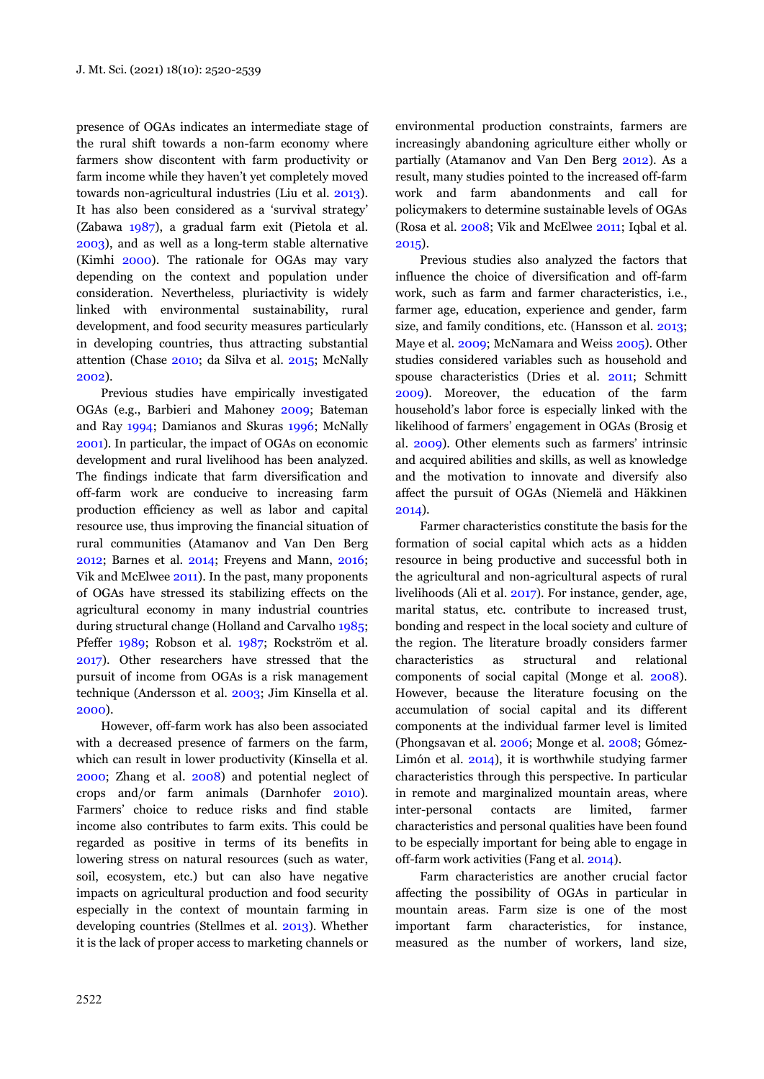presence of OGAs indicates an intermediate stage of the rural shift towards a non-farm economy where farmers show discontent with farm productivity or farm income while they haven't yet completely moved towards non-agricultural industries (Liu et al. 2013). It has also been considered as a 'survival strategy' (Zabawa 1987), a gradual farm exit (Pietola et al. 2003), and as well as a long-term stable alternative (Kimhi 2000). The rationale for OGAs may vary depending on the context and population under consideration. Nevertheless, pluriactivity is widely linked with environmental sustainability, rural development, and food security measures particularly in developing countries, thus attracting substantial attention (Chase 2010; da Silva et al. 2015; McNally 2002).

Previous studies have empirically investigated OGAs (e.g., Barbieri and Mahoney 2009; Bateman and Ray 1994; Damianos and Skuras 1996; McNally 2001). In particular, the impact of OGAs on economic development and rural livelihood has been analyzed. The findings indicate that farm diversification and off-farm work are conducive to increasing farm production efficiency as well as labor and capital resource use, thus improving the financial situation of rural communities (Atamanov and Van Den Berg 2012; Barnes et al. 2014; Freyens and Mann, 2016; Vik and McElwee 2011). In the past, many proponents of OGAs have stressed its stabilizing effects on the agricultural economy in many industrial countries during structural change (Holland and Carvalho 1985; Pfeffer 1989; Robson et al. 1987; Rockström et al. 2017). Other researchers have stressed that the pursuit of income from OGAs is a risk management technique (Andersson et al. 2003; Jim Kinsella et al. 2000).

However, off-farm work has also been associated with a decreased presence of farmers on the farm, which can result in lower productivity (Kinsella et al. 2000; Zhang et al. 2008) and potential neglect of crops and/or farm animals (Darnhofer 2010). Farmers' choice to reduce risks and find stable income also contributes to farm exits. This could be regarded as positive in terms of its benefits in lowering stress on natural resources (such as water, soil, ecosystem, etc.) but can also have negative impacts on agricultural production and food security especially in the context of mountain farming in developing countries (Stellmes et al. 2013). Whether it is the lack of proper access to marketing channels or environmental production constraints, farmers are increasingly abandoning agriculture either wholly or partially (Atamanov and Van Den Berg 2012). As a result, many studies pointed to the increased off-farm work and farm abandonments and call for policymakers to determine sustainable levels of OGAs (Rosa et al. 2008; Vik and McElwee 2011; Iqbal et al. 2015).

Previous studies also analyzed the factors that influence the choice of diversification and off-farm work, such as farm and farmer characteristics, i.e., farmer age, education, experience and gender, farm size, and family conditions, etc. (Hansson et al. 2013; Maye et al. 2009; McNamara and Weiss 2005). Other studies considered variables such as household and spouse characteristics (Dries et al. 2011; Schmitt 2009). Moreover, the education of the farm household's labor force is especially linked with the likelihood of farmers' engagement in OGAs (Brosig et al. 2009). Other elements such as farmers' intrinsic and acquired abilities and skills, as well as knowledge and the motivation to innovate and diversify also affect the pursuit of OGAs (Niemelä and Häkkinen 2014).

Farmer characteristics constitute the basis for the formation of social capital which acts as a hidden resource in being productive and successful both in the agricultural and non-agricultural aspects of rural livelihoods (Ali et al. 2017). For instance, gender, age, marital status, etc. contribute to increased trust, bonding and respect in the local society and culture of the region. The literature broadly considers farmer characteristics as structural and relational components of social capital (Monge et al. 2008). However, because the literature focusing on the accumulation of social capital and its different components at the individual farmer level is limited (Phongsavan et al. 2006; Monge et al. 2008; Gómez-Limón et al. 2014), it is worthwhile studying farmer characteristics through this perspective. In particular in remote and marginalized mountain areas, where inter-personal contacts are limited, farmer characteristics and personal qualities have been found to be especially important for being able to engage in off-farm work activities (Fang et al. 2014).

Farm characteristics are another crucial factor affecting the possibility of OGAs in particular in mountain areas. Farm size is one of the most important farm characteristics, for instance, measured as the number of workers, land size,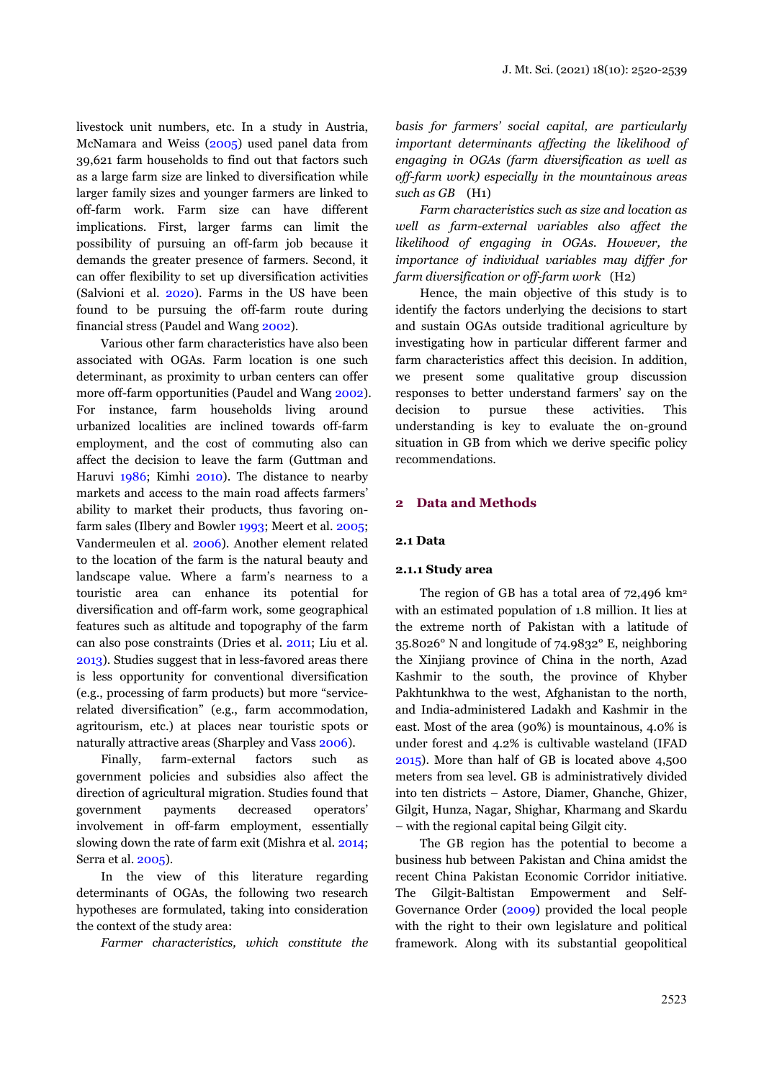livestock unit numbers, etc. In a study in Austria, McNamara and Weiss (2005) used panel data from 39,621 farm households to find out that factors such as a large farm size are linked to diversification while larger family sizes and younger farmers are linked to off-farm work. Farm size can have different implications. First, larger farms can limit the possibility of pursuing an off-farm job because it demands the greater presence of farmers. Second, it can offer flexibility to set up diversification activities (Salvioni et al. 2020). Farms in the US have been found to be pursuing the off-farm route during financial stress (Paudel and Wang 2002).

Various other farm characteristics have also been associated with OGAs. Farm location is one such determinant, as proximity to urban centers can offer more off-farm opportunities (Paudel and Wang 2002). For instance, farm households living around urbanized localities are inclined towards off-farm employment, and the cost of commuting also can affect the decision to leave the farm (Guttman and Haruvi 1986; Kimhi 2010). The distance to nearby markets and access to the main road affects farmers' ability to market their products, thus favoring onfarm sales (Ilbery and Bowler 1993; Meert et al. 2005; Vandermeulen et al. 2006). Another element related to the location of the farm is the natural beauty and landscape value. Where a farm's nearness to a touristic area can enhance its potential for diversification and off-farm work, some geographical features such as altitude and topography of the farm can also pose constraints (Dries et al. 2011; Liu et al. 2013). Studies suggest that in less-favored areas there is less opportunity for conventional diversification (e.g., processing of farm products) but more "servicerelated diversification" (e.g., farm accommodation, agritourism, etc.) at places near touristic spots or naturally attractive areas (Sharpley and Vass 2006).

Finally, farm-external factors such as government policies and subsidies also affect the direction of agricultural migration. Studies found that government payments decreased operators' involvement in off-farm employment, essentially slowing down the rate of farm exit (Mishra et al. 2014; Serra et al. 2005).

In the view of this literature regarding determinants of OGAs, the following two research hypotheses are formulated, taking into consideration the context of the study area:

*Farmer characteristics, which constitute the* 

*basis for farmers' social capital, are particularly important determinants affecting the likelihood of engaging in OGAs (farm diversification as well as off-farm work) especially in the mountainous areas such as GB* (H1)

*Farm characteristics such as size and location as well as farm-external variables also affect the likelihood of engaging in OGAs. However, the importance of individual variables may differ for farm diversification or off-farm work* (H2)

Hence, the main objective of this study is to identify the factors underlying the decisions to start and sustain OGAs outside traditional agriculture by investigating how in particular different farmer and farm characteristics affect this decision. In addition, we present some qualitative group discussion responses to better understand farmers' say on the decision to pursue these activities. This understanding is key to evaluate the on-ground situation in GB from which we derive specific policy recommendations.

#### **2 Data and Methods**

#### **2.1 Data**

#### **2.1.1 Study area**

The region of GB has a total area of  $72,496$  km<sup>2</sup> with an estimated population of 1.8 million. It lies at the extreme north of Pakistan with a latitude of 35.8026° N and longitude of 74.9832° E, neighboring the Xinjiang province of China in the north, Azad Kashmir to the south, the province of Khyber Pakhtunkhwa to the west, Afghanistan to the north, and India-administered Ladakh and Kashmir in the east. Most of the area (90%) is mountainous, 4.0% is under forest and 4.2% is cultivable wasteland (IFAD 2015). More than half of GB is located above 4,500 meters from sea level. GB is administratively divided into ten districts – Astore, Diamer, Ghanche, Ghizer, Gilgit, Hunza, Nagar, Shighar, Kharmang and Skardu – with the regional capital being Gilgit city.

The GB region has the potential to become a business hub between Pakistan and China amidst the recent China Pakistan Economic Corridor initiative. The Gilgit-Baltistan Empowerment and Self-Governance Order (2009) provided the local people with the right to their own legislature and political framework. Along with its substantial geopolitical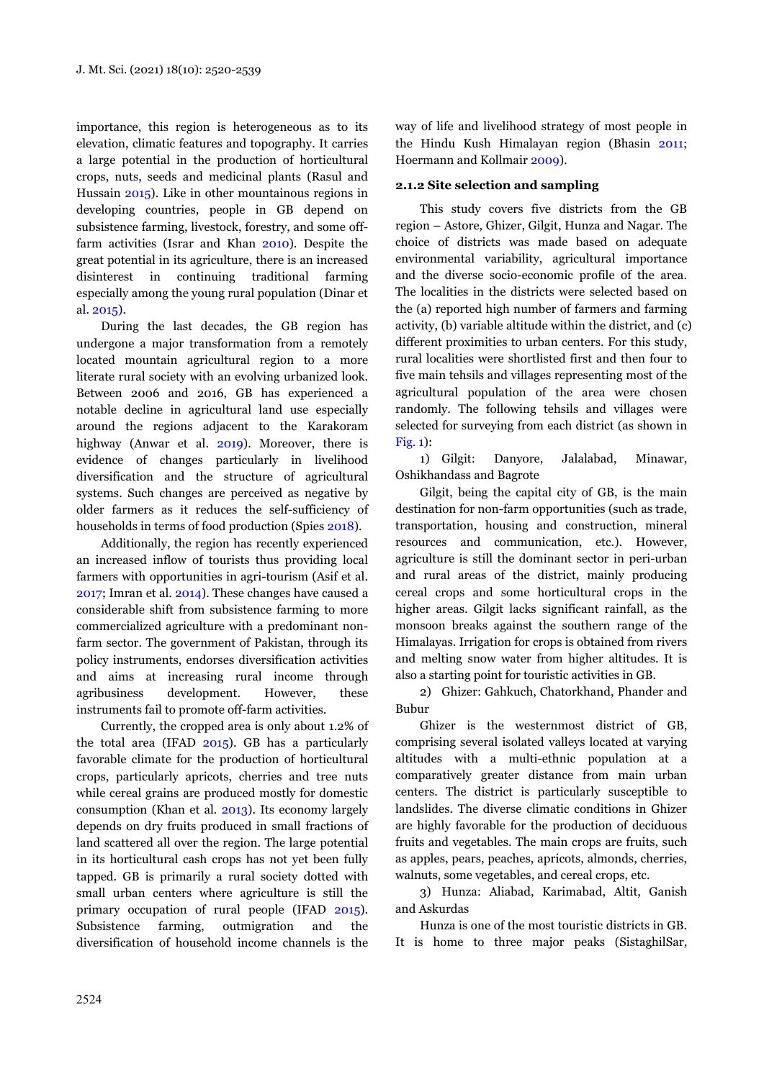importance, this region is heterogeneous as to its elevation, climatic features and topography. It carries a large potential in the production of horticultural crops, nuts, seeds and medicinal plants (Rasul and Hussain 2015). Like in other mountainous regions in developing countries, people in GB depend on subsistence farming, livestock, forestry, and some offfarm activities (Israr and Khan 2010). Despite the great potential in its agriculture, there is an increased disinterest in continuing traditional farming especially among the young rural population (Dinar et al. 2015).

During the last decades, the GB region has undergone a major transformation from a remotely located mountain agricultural region to a more literate rural society with an evolving urbanized look. Between 2006 and 2016, GB has experienced a notable decline in agricultural land use especially around the regions adjacent to the Karakoram highway (Anwar et al. 2019). Moreover, there is evidence of changes particularly in livelihood diversification and the structure of agricultural systems. Such changes are perceived as negative by older farmers as it reduces the self-sufficiency of households in terms of food production (Spies 2018).

Additionally, the region has recently experienced an increased inflow of tourists thus providing local farmers with opportunities in agri-tourism (Asif et al. 2017; Imran et al. 2014). These changes have caused a considerable shift from subsistence farming to more commercialized agriculture with a predominant nonfarm sector. The government of Pakistan, through its policy instruments, endorses diversification activities and aims at increasing rural income through agribusiness development. However, these instruments fail to promote off-farm activities.

Currently, the cropped area is only about 1.2% of the total area (IFAD 2015). GB has a particularly favorable climate for the production of horticultural crops, particularly apricots, cherries and tree nuts while cereal grains are produced mostly for domestic consumption (Khan et al. 2013). Its economy largely depends on dry fruits produced in small fractions of land scattered all over the region. The large potential in its horticultural cash crops has not yet been fully tapped. GB is primarily a rural society dotted with small urban centers where agriculture is still the primary occupation of rural people (IFAD 2015). Subsistence farming, outmigration and the diversification of household income channels is the way of life and livelihood strategy of most people in the Hindu Kush Himalayan region (Bhasin 2011; Hoermann and Kollmair 2009).

## **2.1.2 Site selection and sampling**

This study covers five districts from the GB region – Astore, Ghizer, Gilgit, Hunza and Nagar. The choice of districts was made based on adequate environmental variability, agricultural importance and the diverse socio-economic profile of the area. The localities in the districts were selected based on the (a) reported high number of farmers and farming activity, (b) variable altitude within the district, and (c) different proximities to urban centers. For this study, rural localities were shortlisted first and then four to five main tehsils and villages representing most of the agricultural population of the area were chosen randomly. The following tehsils and villages were selected for surveying from each district (as shown in Fig. 1):

1) Gilgit: Danyore, Jalalabad, Minawar, Oshikhandass and Bagrote

Gilgit, being the capital city of GB, is the main destination for non-farm opportunities (such as trade, transportation, housing and construction, mineral resources and communication, etc.). However, agriculture is still the dominant sector in peri-urban and rural areas of the district, mainly producing cereal crops and some horticultural crops in the higher areas. Gilgit lacks significant rainfall, as the monsoon breaks against the southern range of the Himalayas. Irrigation for crops is obtained from rivers and melting snow water from higher altitudes. It is also a starting point for touristic activities in GB.

2) Ghizer: Gahkuch, Chatorkhand, Phander and Bubur

Ghizer is the westernmost district of GB, comprising several isolated valleys located at varying altitudes with a multi-ethnic population at a comparatively greater distance from main urban centers. The district is particularly susceptible to landslides. The diverse climatic conditions in Ghizer are highly favorable for the production of deciduous fruits and vegetables. The main crops are fruits, such as apples, pears, peaches, apricots, almonds, cherries, walnuts, some vegetables, and cereal crops, etc.

3) Hunza: Aliabad, Karimabad, Altit, Ganish and Askurdas

Hunza is one of the most touristic districts in GB. It is home to three major peaks (SistaghilSar,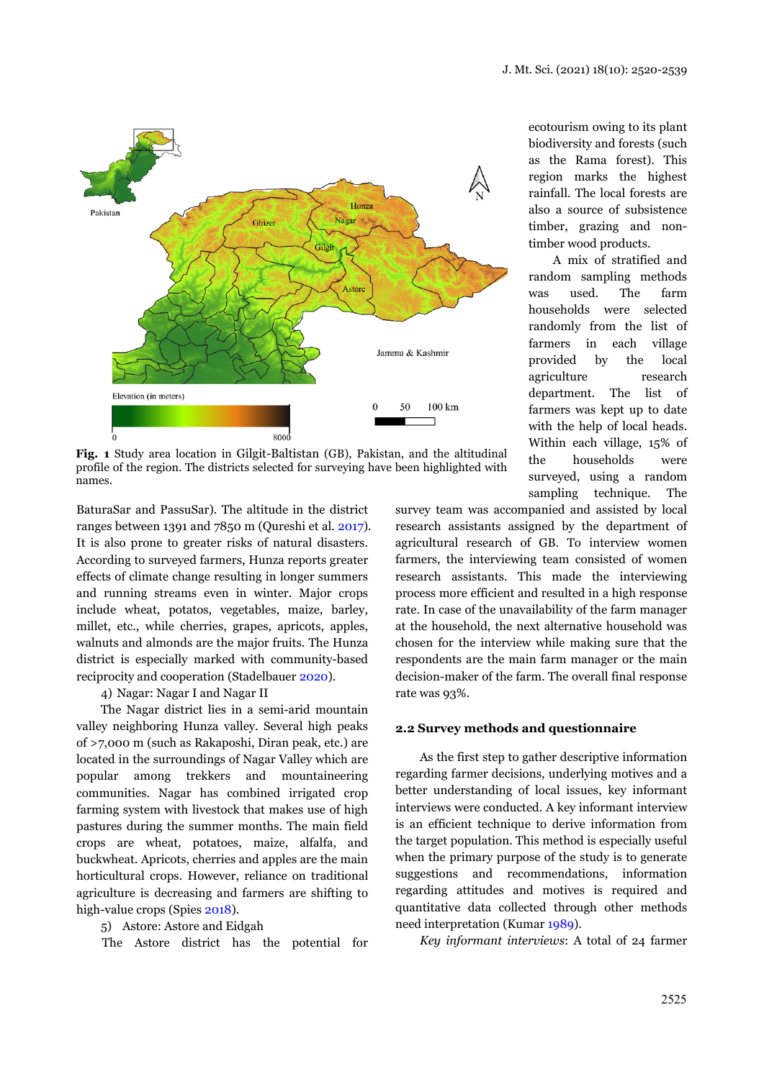

**Fig. 1** Study area location in Gilgit-Baltistan (GB), Pakistan, and the altitudinal profile of the region. The districts selected for surveying have been highlighted with names.

BaturaSar and PassuSar). The altitude in the district ranges between 1391 and 7850 m (Qureshi et al. 2017). It is also prone to greater risks of natural disasters. According to surveyed farmers, Hunza reports greater effects of climate change resulting in longer summers and running streams even in winter. Major crops include wheat, potatos, vegetables, maize, barley, millet, etc., while cherries, grapes, apricots, apples, walnuts and almonds are the major fruits. The Hunza district is especially marked with community-based reciprocity and cooperation (Stadelbauer 2020).

4) Nagar: Nagar I and Nagar II

The Nagar district lies in a semi-arid mountain valley neighboring Hunza valley. Several high peaks of >7,000 m (such as Rakaposhi, Diran peak, etc.) are located in the surroundings of Nagar Valley which are popular among trekkers and mountaineering communities. Nagar has combined irrigated crop farming system with livestock that makes use of high pastures during the summer months. The main field crops are wheat, potatoes, maize, alfalfa, and buckwheat. Apricots, cherries and apples are the main horticultural crops. However, reliance on traditional agriculture is decreasing and farmers are shifting to high-value crops (Spies 2018).

## 5) Astore: Astore and Eidgah

The Astore district has the potential for

ecotourism owing to its plant biodiversity and forests (such as the Rama forest). This region marks the highest rainfall. The local forests are also a source of subsistence timber, grazing and nontimber wood products.

A mix of stratified and random sampling methods was used. The farm households were selected randomly from the list of farmers in each village provided by the local agriculture research department. The list of farmers was kept up to date with the help of local heads. Within each village, 15% of the households were surveyed, using a random sampling technique. The

survey team was accompanied and assisted by local research assistants assigned by the department of agricultural research of GB. To interview women farmers, the interviewing team consisted of women research assistants. This made the interviewing process more efficient and resulted in a high response rate. In case of the unavailability of the farm manager at the household, the next alternative household was chosen for the interview while making sure that the respondents are the main farm manager or the main decision-maker of the farm. The overall final response rate was 93%.

#### **2.2 Survey methods and questionnaire**

As the first step to gather descriptive information regarding farmer decisions, underlying motives and a better understanding of local issues, key informant interviews were conducted. A key informant interview is an efficient technique to derive information from the target population. This method is especially useful when the primary purpose of the study is to generate suggestions and recommendations, information regarding attitudes and motives is required and quantitative data collected through other methods need interpretation (Kumar 1989).

*Key informant interviews*: A total of 24 farmer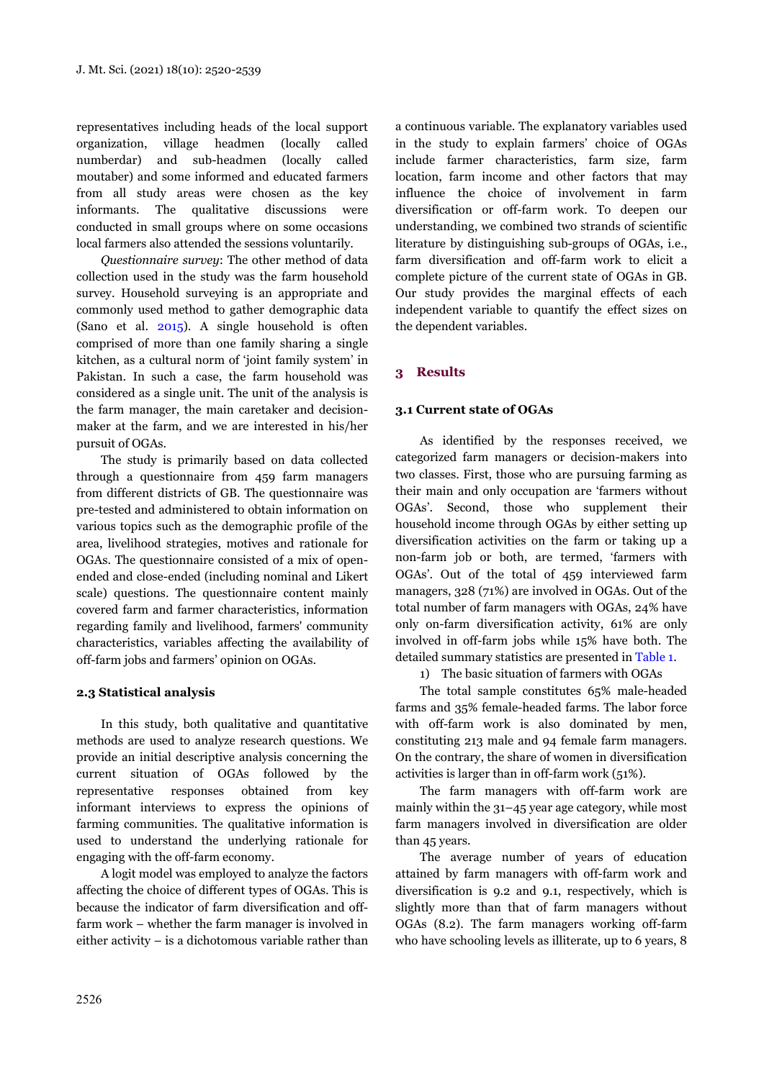representatives including heads of the local support organization, village headmen (locally called numberdar) and sub-headmen (locally called moutaber) and some informed and educated farmers from all study areas were chosen as the key informants. The qualitative discussions were conducted in small groups where on some occasions local farmers also attended the sessions voluntarily.

*Questionnaire survey*: The other method of data collection used in the study was the farm household survey. Household surveying is an appropriate and commonly used method to gather demographic data (Sano et al. 2015). A single household is often comprised of more than one family sharing a single kitchen, as a cultural norm of 'joint family system' in Pakistan. In such a case, the farm household was considered as a single unit. The unit of the analysis is the farm manager, the main caretaker and decisionmaker at the farm, and we are interested in his/her pursuit of OGAs.

The study is primarily based on data collected through a questionnaire from 459 farm managers from different districts of GB. The questionnaire was pre-tested and administered to obtain information on various topics such as the demographic profile of the area, livelihood strategies, motives and rationale for OGAs. The questionnaire consisted of a mix of openended and close-ended (including nominal and Likert scale) questions. The questionnaire content mainly covered farm and farmer characteristics, information regarding family and livelihood, farmers' community characteristics, variables affecting the availability of off-farm jobs and farmers' opinion on OGAs.

## **2.3 Statistical analysis**

In this study, both qualitative and quantitative methods are used to analyze research questions. We provide an initial descriptive analysis concerning the current situation of OGAs followed by the representative responses obtained from key informant interviews to express the opinions of farming communities. The qualitative information is used to understand the underlying rationale for engaging with the off-farm economy.

A logit model was employed to analyze the factors affecting the choice of different types of OGAs. This is because the indicator of farm diversification and offfarm work – whether the farm manager is involved in either activity – is a dichotomous variable rather than a continuous variable. The explanatory variables used in the study to explain farmers' choice of OGAs include farmer characteristics, farm size, farm location, farm income and other factors that may influence the choice of involvement in farm diversification or off-farm work. To deepen our understanding, we combined two strands of scientific literature by distinguishing sub-groups of OGAs, i.e., farm diversification and off-farm work to elicit a complete picture of the current state of OGAs in GB. Our study provides the marginal effects of each independent variable to quantify the effect sizes on the dependent variables.

## **3 Results**

#### **3.1 Current state of OGAs**

As identified by the responses received, we categorized farm managers or decision-makers into two classes. First, those who are pursuing farming as their main and only occupation are 'farmers without OGAs'. Second, those who supplement their household income through OGAs by either setting up diversification activities on the farm or taking up a non-farm job or both, are termed, 'farmers with OGAs'. Out of the total of 459 interviewed farm managers, 328 (71%) are involved in OGAs. Out of the total number of farm managers with OGAs, 24% have only on-farm diversification activity, 61% are only involved in off-farm jobs while 15% have both. The detailed summary statistics are presented in Table 1.

1) The basic situation of farmers with OGAs

The total sample constitutes 65% male-headed farms and 35% female-headed farms. The labor force with off-farm work is also dominated by men, constituting 213 male and 94 female farm managers. On the contrary, the share of women in diversification activities is larger than in off-farm work (51%).

The farm managers with off-farm work are mainly within the 31–45 year age category, while most farm managers involved in diversification are older than 45 years.

The average number of years of education attained by farm managers with off-farm work and diversification is 9.2 and 9.1, respectively, which is slightly more than that of farm managers without OGAs (8.2). The farm managers working off-farm who have schooling levels as illiterate, up to 6 years, 8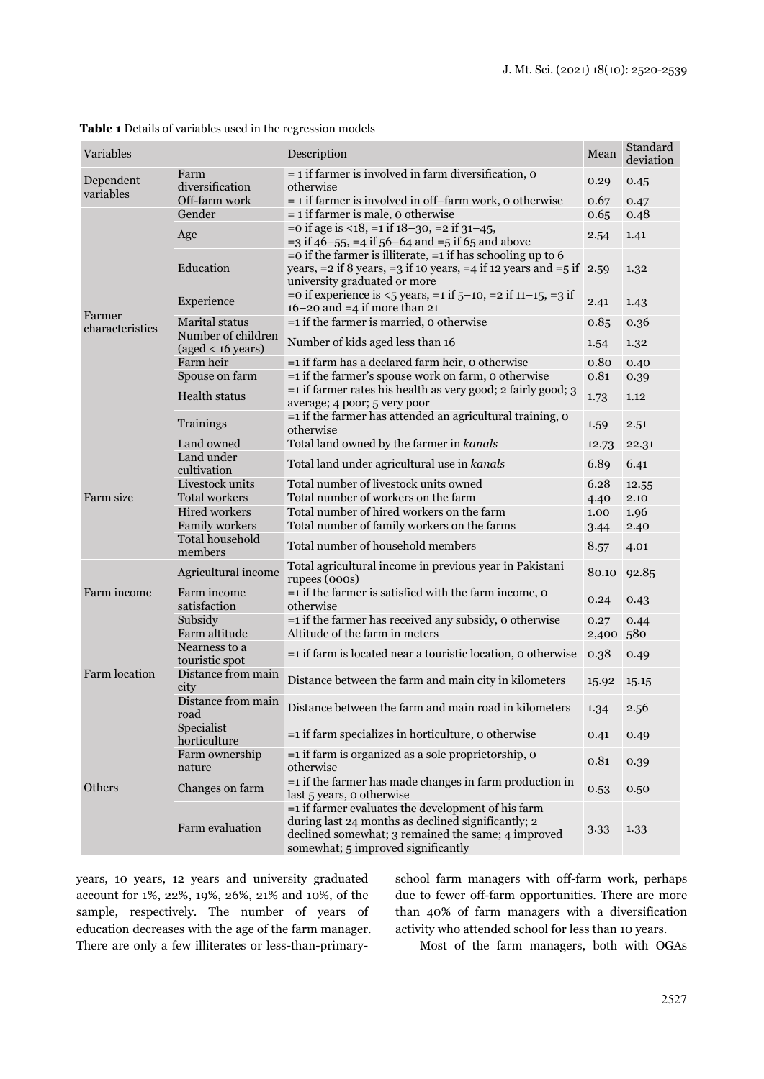|  | Table 1 Details of variables used in the regression models |  |  |
|--|------------------------------------------------------------|--|--|
|  |                                                            |  |  |

| Variables                                         |                                                   | Description                                                                                                                                                                                             | Mean  | Standard<br>deviation |
|---------------------------------------------------|---------------------------------------------------|---------------------------------------------------------------------------------------------------------------------------------------------------------------------------------------------------------|-------|-----------------------|
| Farm<br>Dependent<br>diversification<br>variables |                                                   | $=$ 1 if farmer is involved in farm diversification, $\sigma$<br>otherwise                                                                                                                              | 0.29  | 0.45                  |
|                                                   | Off-farm work                                     | $=$ 1 if farmer is involved in off-farm work, o otherwise                                                                                                                                               | 0.67  | 0.47                  |
|                                                   | Gender                                            | $= 1$ if farmer is male, o otherwise                                                                                                                                                                    | 0.65  | 0.48                  |
|                                                   | Age                                               | $=$ o if age is <18, $=$ 1 if 18–30, $=$ 2 if 31–45,<br>$=$ 3 if 46–55, $=$ 4 if 56–64 and $=$ 5 if 65 and above                                                                                        | 2.54  | 1.41                  |
|                                                   | Education                                         | $=$ o if the farmer is illiterate, $=$ 1 if has schooling up to 6<br>years, $= 2$ if 8 years, $= 3$ if 10 years, $= 4$ if 12 years and $= 5$ if 2.59<br>university graduated or more                    |       | 1.32                  |
| Farmer                                            | Experience                                        | = 0 if experience is $<5$ years, = 1 if $5-10$ , = 2 if $11-15$ , = 3 if<br>$16-20$ and $=4$ if more than 21                                                                                            | 2.41  | 1.43                  |
| characteristics                                   | <b>Marital</b> status                             | $=$ 1 if the farmer is married, o otherwise                                                                                                                                                             | 0.85  | 0.36                  |
|                                                   | Number of children<br>$(aged < 16 \text{ years})$ | Number of kids aged less than 16                                                                                                                                                                        | 1.54  | 1.32                  |
|                                                   | Farm heir                                         | =1 if farm has a declared farm heir, o otherwise                                                                                                                                                        | 0.80  | 0.40                  |
|                                                   | Spouse on farm                                    | $=$ 1 if the farmer's spouse work on farm, o otherwise                                                                                                                                                  | 0.81  | 0.39                  |
|                                                   | <b>Health status</b>                              | $=$ 1 if farmer rates his health as very good; 2 fairly good; 3<br>average; 4 poor; 5 very poor                                                                                                         | 1.73  | 1.12                  |
|                                                   | Trainings                                         | $=$ 1 if the farmer has attended an agricultural training, o<br>otherwise                                                                                                                               | 1.59  | 2.51                  |
|                                                   | Land owned                                        | Total land owned by the farmer in kanals                                                                                                                                                                | 12.73 | 22.31                 |
|                                                   | Land under<br>cultivation                         | Total land under agricultural use in kanals                                                                                                                                                             | 6.89  | 6.41                  |
|                                                   | Livestock units                                   | Total number of livestock units owned                                                                                                                                                                   | 6.28  | 12.55                 |
| Farm size                                         | <b>Total workers</b>                              | Total number of workers on the farm                                                                                                                                                                     | 4.40  | 2.10                  |
|                                                   | <b>Hired workers</b>                              | Total number of hired workers on the farm                                                                                                                                                               | 1.00  | 1.96                  |
|                                                   | Family workers                                    | Total number of family workers on the farms                                                                                                                                                             | 3.44  | 2.40                  |
|                                                   | <b>Total household</b><br>members                 | Total number of household members                                                                                                                                                                       | 8.57  | 4.01                  |
|                                                   | Agricultural income                               | Total agricultural income in previous year in Pakistani<br>rupees (000s)                                                                                                                                | 80.10 | 92.85                 |
| Farm income                                       | Farm income<br>satisfaction                       | $=$ 1 if the farmer is satisfied with the farm income, o<br>otherwise                                                                                                                                   | 0.24  | 0.43                  |
|                                                   | Subsidy                                           | =1 if the farmer has received any subsidy, o otherwise                                                                                                                                                  | 0.27  | 0.44                  |
|                                                   | Farm altitude                                     | Altitude of the farm in meters                                                                                                                                                                          | 2,400 | 580                   |
|                                                   | Nearness to a<br>touristic spot                   | =1 if farm is located near a touristic location, o otherwise                                                                                                                                            | 0.38  | 0.49                  |
| Farm location                                     | Distance from main<br>city                        | Distance between the farm and main city in kilometers                                                                                                                                                   | 15.92 | 15.15                 |
|                                                   | Distance from main<br>road                        | Distance between the farm and main road in kilometers                                                                                                                                                   | 1.34  | 2.56                  |
|                                                   | Specialist<br>horticulture                        | $=$ 1 if farm specializes in horticulture, o otherwise                                                                                                                                                  | 0.41  | 0.49                  |
|                                                   | Farm ownership<br>nature                          | $=$ 1 if farm is organized as a sole proprietorship, o<br>otherwise                                                                                                                                     | 0.81  | 0.39                  |
| Others                                            | Changes on farm                                   | $=$ 1 if the farmer has made changes in farm production in<br>last 5 years, o otherwise                                                                                                                 | 0.53  | 0.50                  |
|                                                   | Farm evaluation                                   | $=$ 1 if farmer evaluates the development of his farm<br>during last 24 months as declined significantly; 2<br>declined somewhat; 3 remained the same; 4 improved<br>somewhat; 5 improved significantly | 3.33  | 1.33                  |

years, 10 years, 12 years and university graduated account for 1%, 22%, 19%, 26%, 21% and 10%, of the sample, respectively. The number of years of education decreases with the age of the farm manager. There are only a few illiterates or less-than-primaryschool farm managers with off-farm work, perhaps due to fewer off-farm opportunities. There are more than 40% of farm managers with a diversification activity who attended school for less than 10 years.

Most of the farm managers, both with OGAs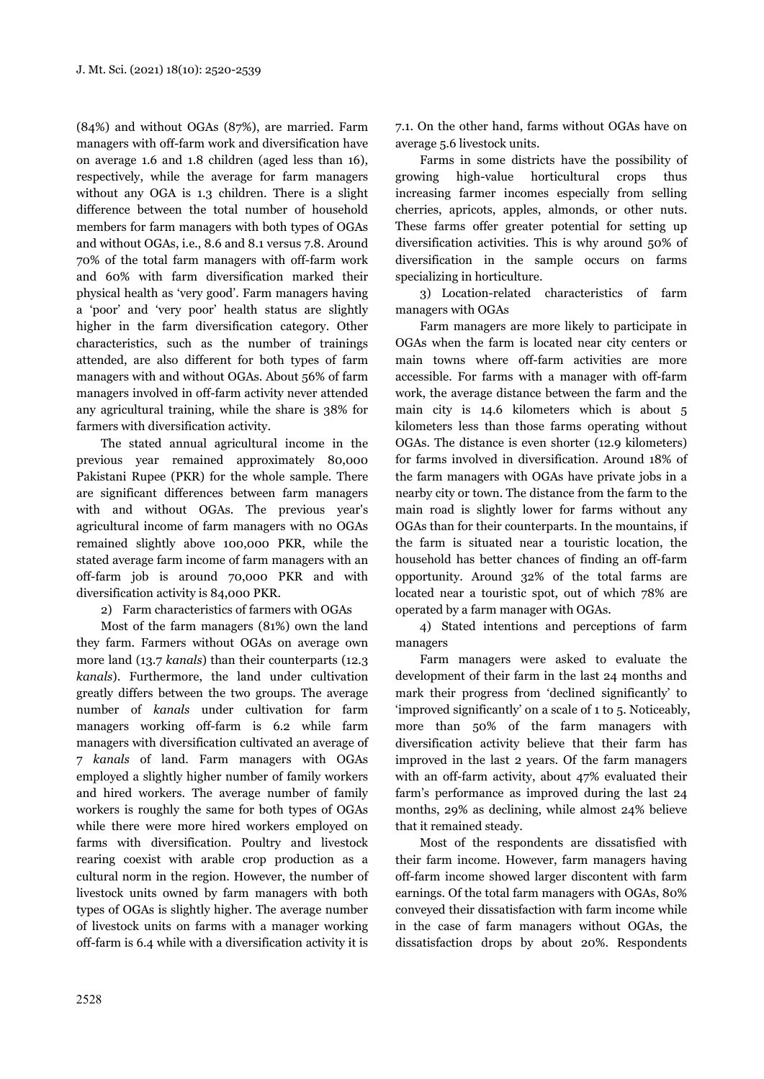(84%) and without OGAs (87%), are married. Farm managers with off-farm work and diversification have on average 1.6 and 1.8 children (aged less than 16), respectively, while the average for farm managers without any OGA is 1.3 children. There is a slight difference between the total number of household members for farm managers with both types of OGAs and without OGAs, i.e., 8.6 and 8.1 versus 7.8. Around 70% of the total farm managers with off-farm work and 60% with farm diversification marked their physical health as 'very good'. Farm managers having a 'poor' and 'very poor' health status are slightly higher in the farm diversification category. Other characteristics, such as the number of trainings attended, are also different for both types of farm managers with and without OGAs. About 56% of farm managers involved in off-farm activity never attended any agricultural training, while the share is 38% for farmers with diversification activity.

The stated annual agricultural income in the previous year remained approximately 80,000 Pakistani Rupee (PKR) for the whole sample. There are significant differences between farm managers with and without OGAs. The previous year's agricultural income of farm managers with no OGAs remained slightly above 100,000 PKR, while the stated average farm income of farm managers with an off-farm job is around 70,000 PKR and with diversification activity is 84,000 PKR.

## 2) Farm characteristics of farmers with OGAs

Most of the farm managers (81%) own the land they farm. Farmers without OGAs on average own more land (13.7 *kanals*) than their counterparts (12.3 *kanals*). Furthermore, the land under cultivation greatly differs between the two groups. The average number of *kanals* under cultivation for farm managers working off-farm is 6.2 while farm managers with diversification cultivated an average of 7 *kanals* of land. Farm managers with OGAs employed a slightly higher number of family workers and hired workers. The average number of family workers is roughly the same for both types of OGAs while there were more hired workers employed on farms with diversification. Poultry and livestock rearing coexist with arable crop production as a cultural norm in the region. However, the number of livestock units owned by farm managers with both types of OGAs is slightly higher. The average number of livestock units on farms with a manager working off-farm is 6.4 while with a diversification activity it is 7.1. On the other hand, farms without OGAs have on average 5.6 livestock units.

Farms in some districts have the possibility of growing high-value horticultural crops thus increasing farmer incomes especially from selling cherries, apricots, apples, almonds, or other nuts. These farms offer greater potential for setting up diversification activities. This is why around 50% of diversification in the sample occurs on farms specializing in horticulture.

3) Location-related characteristics of farm managers with OGAs

Farm managers are more likely to participate in OGAs when the farm is located near city centers or main towns where off-farm activities are more accessible. For farms with a manager with off-farm work, the average distance between the farm and the main city is 14.6 kilometers which is about 5 kilometers less than those farms operating without OGAs. The distance is even shorter (12.9 kilometers) for farms involved in diversification. Around 18% of the farm managers with OGAs have private jobs in a nearby city or town. The distance from the farm to the main road is slightly lower for farms without any OGAs than for their counterparts. In the mountains, if the farm is situated near a touristic location, the household has better chances of finding an off-farm opportunity. Around 32% of the total farms are located near a touristic spot, out of which 78% are operated by a farm manager with OGAs.

4) Stated intentions and perceptions of farm managers

Farm managers were asked to evaluate the development of their farm in the last 24 months and mark their progress from 'declined significantly' to 'improved significantly' on a scale of 1 to 5. Noticeably, more than 50% of the farm managers with diversification activity believe that their farm has improved in the last 2 years. Of the farm managers with an off-farm activity, about 47% evaluated their farm's performance as improved during the last 24 months, 29% as declining, while almost 24% believe that it remained steady.

Most of the respondents are dissatisfied with their farm income. However, farm managers having off-farm income showed larger discontent with farm earnings. Of the total farm managers with OGAs, 80% conveyed their dissatisfaction with farm income while in the case of farm managers without OGAs, the dissatisfaction drops by about 20%. Respondents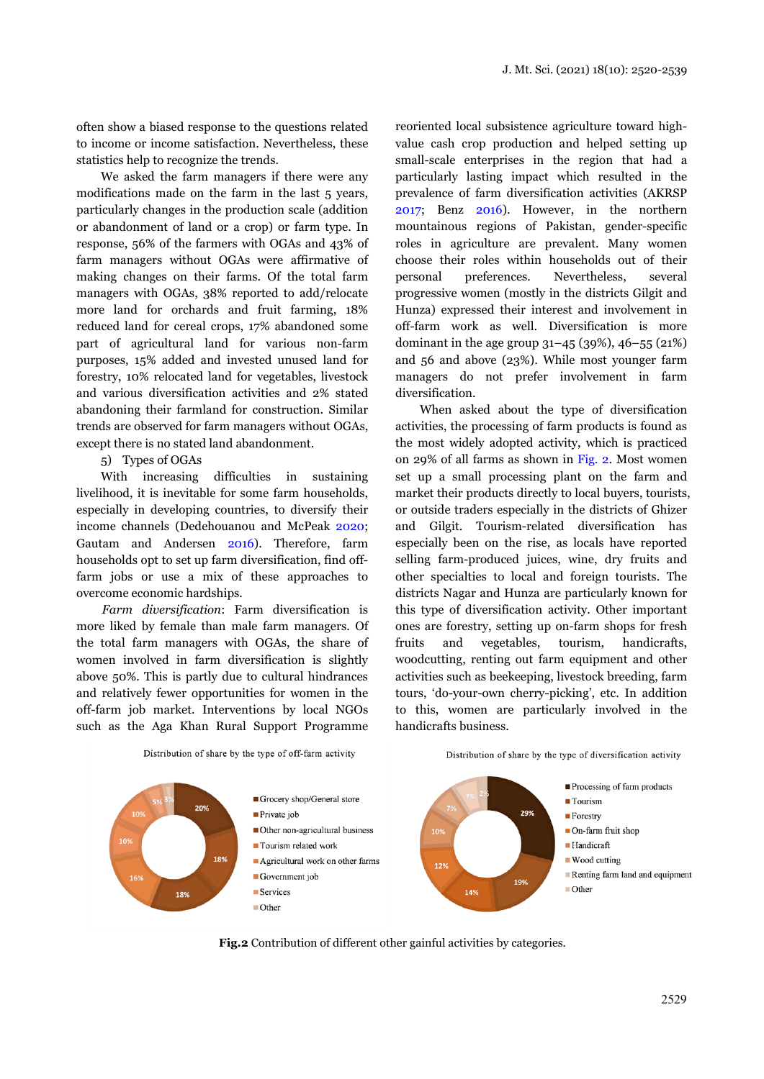often show a biased response to the questions related to income or income satisfaction. Nevertheless, these statistics help to recognize the trends.

We asked the farm managers if there were any modifications made on the farm in the last 5 years, particularly changes in the production scale (addition or abandonment of land or a crop) or farm type. In response, 56% of the farmers with OGAs and 43% of farm managers without OGAs were affirmative of making changes on their farms. Of the total farm managers with OGAs, 38% reported to add/relocate more land for orchards and fruit farming, 18% reduced land for cereal crops, 17% abandoned some part of agricultural land for various non-farm purposes, 15% added and invested unused land for forestry, 10% relocated land for vegetables, livestock and various diversification activities and 2% stated abandoning their farmland for construction. Similar trends are observed for farm managers without OGAs, except there is no stated land abandonment.

5) Types of OGAs

With increasing difficulties in sustaining livelihood, it is inevitable for some farm households, especially in developing countries, to diversify their income channels (Dedehouanou and McPeak 2020; Gautam and Andersen 2016). Therefore, farm households opt to set up farm diversification, find offfarm jobs or use a mix of these approaches to overcome economic hardships.

*Farm diversification*: Farm diversification is more liked by female than male farm managers. Of the total farm managers with OGAs, the share of women involved in farm diversification is slightly above 50%. This is partly due to cultural hindrances and relatively fewer opportunities for women in the off-farm job market. Interventions by local NGOs such as the Aga Khan Rural Support Programme

reoriented local subsistence agriculture toward highvalue cash crop production and helped setting up small-scale enterprises in the region that had a particularly lasting impact which resulted in the prevalence of farm diversification activities (AKRSP 2017; Benz 2016). However, in the northern mountainous regions of Pakistan, gender-specific roles in agriculture are prevalent. Many women choose their roles within households out of their personal preferences. Nevertheless, several progressive women (mostly in the districts Gilgit and Hunza) expressed their interest and involvement in off-farm work as well. Diversification is more dominant in the age group 31–45 (39%), 46–55 (21%) and 56 and above (23%). While most younger farm managers do not prefer involvement in farm diversification.

When asked about the type of diversification activities, the processing of farm products is found as the most widely adopted activity, which is practiced on 29% of all farms as shown in Fig. 2. Most women set up a small processing plant on the farm and market their products directly to local buyers, tourists, or outside traders especially in the districts of Ghizer and Gilgit. Tourism-related diversification has especially been on the rise, as locals have reported selling farm-produced juices, wine, dry fruits and other specialties to local and foreign tourists. The districts Nagar and Hunza are particularly known for this type of diversification activity. Other important ones are forestry, setting up on-farm shops for fresh fruits and vegetables, tourism, handicrafts, woodcutting, renting out farm equipment and other activities such as beekeeping, livestock breeding, farm tours, 'do-your-own cherry-picking', etc. In addition to this, women are particularly involved in the handicrafts business.



**Fig.2** Contribution of different other gainful activities by categories.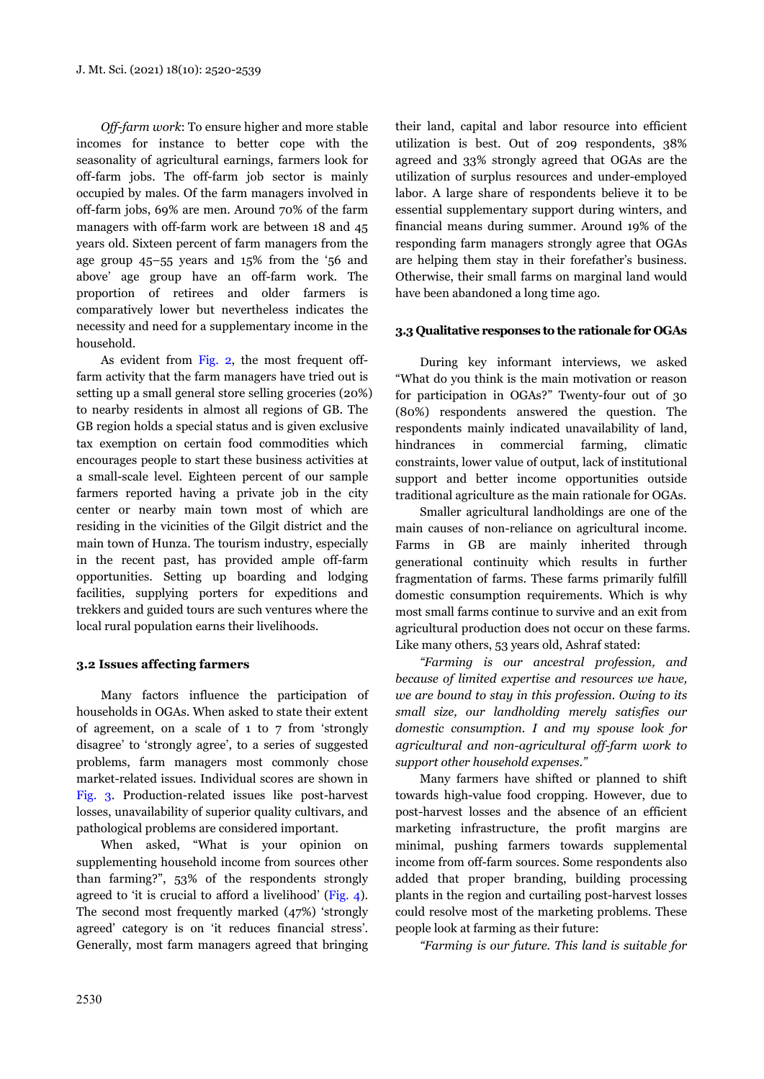*Off-farm work*: To ensure higher and more stable incomes for instance to better cope with the seasonality of agricultural earnings, farmers look for off-farm jobs. The off-farm job sector is mainly occupied by males. Of the farm managers involved in off-farm jobs, 69% are men. Around 70% of the farm managers with off-farm work are between 18 and 45 years old. Sixteen percent of farm managers from the age group 45–55 years and 15% from the '56 and above' age group have an off-farm work. The proportion of retirees and older farmers is comparatively lower but nevertheless indicates the necessity and need for a supplementary income in the household.

As evident from Fig. 2, the most frequent offfarm activity that the farm managers have tried out is setting up a small general store selling groceries (20%) to nearby residents in almost all regions of GB. The GB region holds a special status and is given exclusive tax exemption on certain food commodities which encourages people to start these business activities at a small-scale level. Eighteen percent of our sample farmers reported having a private job in the city center or nearby main town most of which are residing in the vicinities of the Gilgit district and the main town of Hunza. The tourism industry, especially in the recent past, has provided ample off-farm opportunities. Setting up boarding and lodging facilities, supplying porters for expeditions and trekkers and guided tours are such ventures where the local rural population earns their livelihoods.

### **3.2 Issues affecting farmers**

Many factors influence the participation of households in OGAs. When asked to state their extent of agreement, on a scale of 1 to 7 from 'strongly disagree' to 'strongly agree', to a series of suggested problems, farm managers most commonly chose market-related issues. Individual scores are shown in Fig. 3. Production-related issues like post-harvest losses, unavailability of superior quality cultivars, and pathological problems are considered important.

When asked, "What is your opinion on supplementing household income from sources other than farming?", 53% of the respondents strongly agreed to 'it is crucial to afford a livelihood' (Fig. 4). The second most frequently marked (47%) 'strongly agreed' category is on 'it reduces financial stress'. Generally, most farm managers agreed that bringing their land, capital and labor resource into efficient utilization is best. Out of 209 respondents, 38% agreed and 33% strongly agreed that OGAs are the utilization of surplus resources and under-employed labor. A large share of respondents believe it to be essential supplementary support during winters, and financial means during summer. Around 19% of the responding farm managers strongly agree that OGAs are helping them stay in their forefather's business. Otherwise, their small farms on marginal land would have been abandoned a long time ago.

### **3.3 Qualitative responses to the rationale for OGAs**

During key informant interviews, we asked "What do you think is the main motivation or reason for participation in OGAs?" Twenty-four out of 30 (80%) respondents answered the question. The respondents mainly indicated unavailability of land, hindrances in commercial farming, climatic constraints, lower value of output, lack of institutional support and better income opportunities outside traditional agriculture as the main rationale for OGAs.

Smaller agricultural landholdings are one of the main causes of non-reliance on agricultural income. Farms in GB are mainly inherited through generational continuity which results in further fragmentation of farms. These farms primarily fulfill domestic consumption requirements. Which is why most small farms continue to survive and an exit from agricultural production does not occur on these farms. Like many others, 53 years old, Ashraf stated:

*"Farming is our ancestral profession, and because of limited expertise and resources we have, we are bound to stay in this profession. Owing to its small size, our landholding merely satisfies our domestic consumption. I and my spouse look for agricultural and non-agricultural off-farm work to support other household expenses."* 

Many farmers have shifted or planned to shift towards high-value food cropping. However, due to post-harvest losses and the absence of an efficient marketing infrastructure, the profit margins are minimal, pushing farmers towards supplemental income from off-farm sources. Some respondents also added that proper branding, building processing plants in the region and curtailing post-harvest losses could resolve most of the marketing problems. These people look at farming as their future:

*"Farming is our future. This land is suitable for*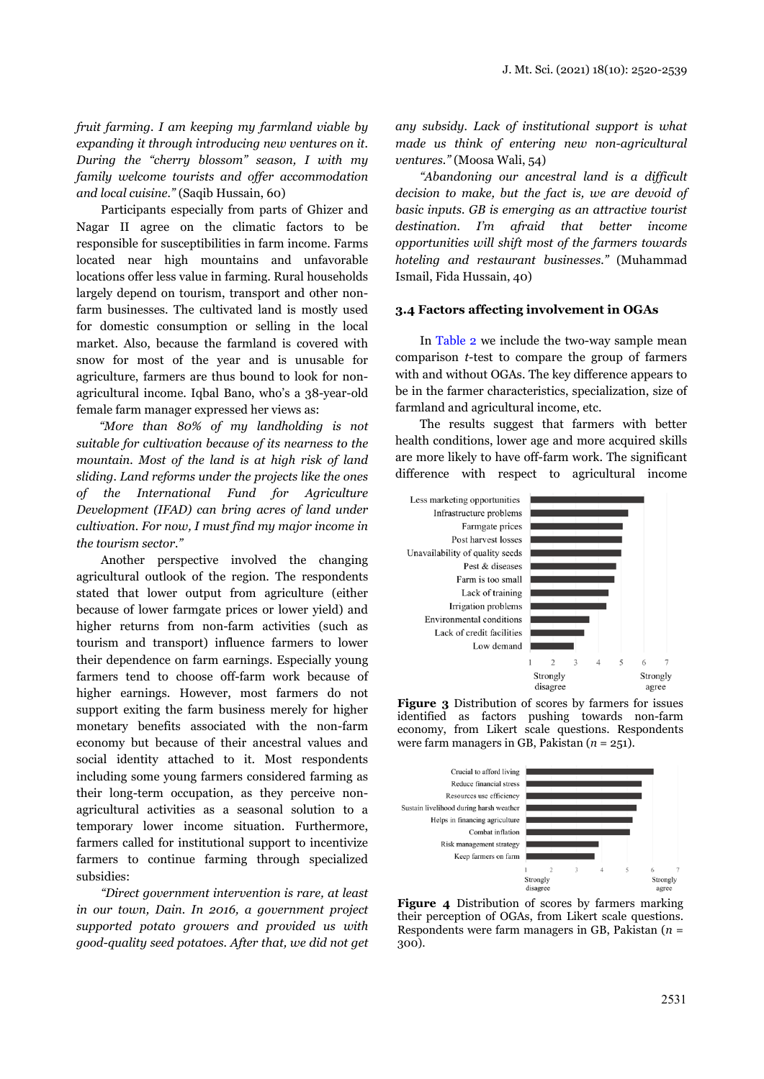*fruit farming. I am keeping my farmland viable by expanding it through introducing new ventures on it. During the "cherry blossom" season, I with my family welcome tourists and offer accommodation and local cuisine."* (Saqib Hussain, 60)

Participants especially from parts of Ghizer and Nagar II agree on the climatic factors to be responsible for susceptibilities in farm income. Farms located near high mountains and unfavorable locations offer less value in farming. Rural households largely depend on tourism, transport and other nonfarm businesses. The cultivated land is mostly used for domestic consumption or selling in the local market. Also, because the farmland is covered with snow for most of the year and is unusable for agriculture, farmers are thus bound to look for nonagricultural income. Iqbal Bano, who's a 38-year-old female farm manager expressed her views as:

*"More than 80% of my landholding is not suitable for cultivation because of its nearness to the mountain. Most of the land is at high risk of land sliding. Land reforms under the projects like the ones of the International Fund for Agriculture Development (IFAD) can bring acres of land under cultivation. For now, I must find my major income in the tourism sector."* 

Another perspective involved the changing agricultural outlook of the region. The respondents stated that lower output from agriculture (either because of lower farmgate prices or lower yield) and higher returns from non-farm activities (such as tourism and transport) influence farmers to lower their dependence on farm earnings. Especially young farmers tend to choose off-farm work because of higher earnings. However, most farmers do not support exiting the farm business merely for higher monetary benefits associated with the non-farm economy but because of their ancestral values and social identity attached to it. Most respondents including some young farmers considered farming as their long-term occupation, as they perceive nonagricultural activities as a seasonal solution to a temporary lower income situation. Furthermore, farmers called for institutional support to incentivize farmers to continue farming through specialized subsidies:

*"Direct government intervention is rare, at least in our town, Dain. In 2016, a government project supported potato growers and provided us with good-quality seed potatoes. After that, we did not get*  *any subsidy. Lack of institutional support is what made us think of entering new non-agricultural ventures."* (Moosa Wali, 54)

*"Abandoning our ancestral land is a difficult decision to make, but the fact is, we are devoid of basic inputs. GB is emerging as an attractive tourist destination. I'm afraid that better income opportunities will shift most of the farmers towards hoteling and restaurant businesses."* (Muhammad Ismail, Fida Hussain, 40)

#### **3.4 Factors affecting involvement in OGAs**

In Table 2 we include the two-way sample mean comparison *t*-test to compare the group of farmers with and without OGAs. The key difference appears to be in the farmer characteristics, specialization, size of farmland and agricultural income, etc.

The results suggest that farmers with better health conditions, lower age and more acquired skills are more likely to have off-farm work. The significant difference with respect to agricultural income



**Figure 3** Distribution of scores by farmers for issues identified as factors pushing towards non-farm economy, from Likert scale questions. Respondents were farm managers in GB, Pakistan (*n* = 251).



**Figure 4** Distribution of scores by farmers marking their perception of OGAs, from Likert scale questions. Respondents were farm managers in GB, Pakistan (*n* = 300).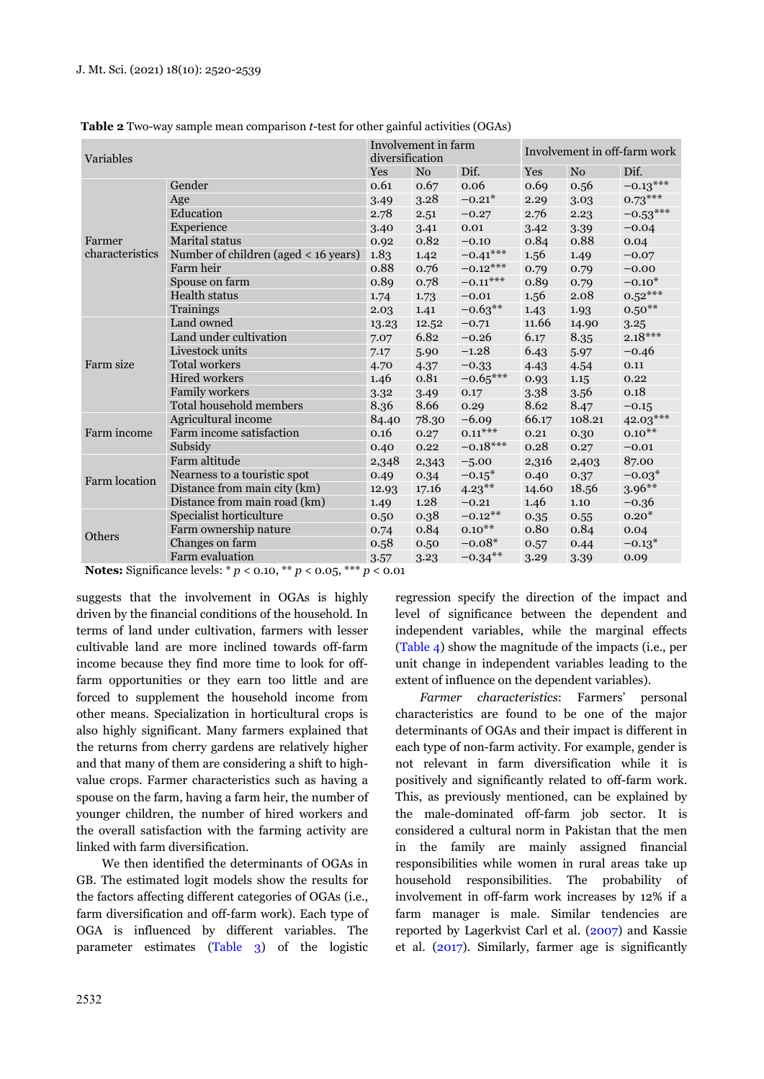| Variables            |                                      | diversification | Involvement in farm |             | Involvement in off-farm work |                |            |
|----------------------|--------------------------------------|-----------------|---------------------|-------------|------------------------------|----------------|------------|
|                      |                                      | Yes             | N <sub>0</sub>      | Dif.        | Yes                          | N <sub>o</sub> | Dif.       |
|                      | Gender                               | 0.61            | 0.67                | 0.06        | 0.69                         | 0.56           | $-0.13***$ |
|                      | Age                                  | 3.49            | 3.28                | $-0.21*$    | 2.29                         | 3.03           | $0.73***$  |
|                      | Education<br>2.78                    |                 | 2.51                | $-0.27$     | 2.76                         | 2.23           | $-0.53***$ |
|                      | Experience<br>3.40                   |                 | 3.41                | 0.01        | 3.42                         | 3.39           | $-0.04$    |
| Farmer               | Marital status                       | 0.92            | 0.82                | $-0.10$     | 0.84                         | 0.88           | 0.04       |
| characteristics      | Number of children (aged < 16 years) | 1.83            | 1.42                | $-0.41***$  | 1.56                         | 1.49           | $-0.07$    |
|                      | Farm heir                            | 0.88            | 0.76                | $-0.12***$  | 0.79                         | 0.79           | $-0.00$    |
|                      | Spouse on farm                       | 0.89            | 0.78                | $-0.11***$  | 0.89                         | 0.79           | $-0.10*$   |
|                      | Health status                        | 1.74            | 1.73                | $-0.01$     | 1.56                         | 2.08           | $0.52***$  |
|                      | Trainings                            | 2.03            | 1.41                | $-0.63**$   | 1.43                         | 1.93           | $0.50***$  |
|                      | Land owned<br>13.23                  |                 | 12.52               | $-0.71$     | 11.66                        | 14.90          | 3.25       |
|                      | Land under cultivation               | 7.07            | 6.82                | $-0.26$     | 6.17                         | 8.35           | $2.18***$  |
|                      | Livestock units                      | 7.17            | 5.90                | $-1.28$     | 6.43                         | 5.97           | $-0.46$    |
| Farm size            | Total workers                        | 4.70            | 4.37                | $-0.33$     | 4.43                         | 4.54           | $0.11\,$   |
|                      | <b>Hired workers</b>                 | 1.46            | 0.81                | $-0.65***$  | 0.93                         | 1.15           | 0.22       |
|                      | <b>Family workers</b>                | 3.32            | 3.49                | 0.17        | 3.38                         | 3.56           | 0.18       |
|                      | Total household members              | 8.36            | 8.66                | 0.29        | 8.62                         | 8.47           | $-0.15$    |
|                      | Agricultural income                  | 84.40           | 78.30               | $-6.09$     | 66.17                        | 108.21         | 42.03***   |
| Farm income          | Farm income satisfaction             | 0.16            | 0.27                | $0.11***$   | 0.21                         | 0.30           | $0.10***$  |
|                      | Subsidy                              | 0.40            | 0.22                | $-0.18***$  | 0.28                         | 0.27           | $-0.01$    |
|                      | Farm altitude                        | 2,348           | 2,343               | $-5.00$     | 2,316                        | 2,403          | 87.00      |
| <b>Farm location</b> | Nearness to a touristic spot         | 0.49            | 0.34                | $-0.15*$    | 0.40                         | 0.37           | $-0.03*$   |
|                      | Distance from main city (km)         | 12.93           | 17.16               | $4.23***$   | 14.60                        | 18.56          | $3.96***$  |
|                      | Distance from main road (km)         | 1.49            | 1.28                | $-0.21$     | 1.46                         | 1.10           | $-0.36$    |
| <b>Others</b>        | Specialist horticulture              | 0.50            | 0.38                | $-0.12***$  | 0.35                         | 0.55           | $0.20*$    |
|                      | Farm ownership nature                | 0.74            | 0.84                | $0.10^{**}$ | 0.80                         | 0.84           | 0.04       |
|                      | Changes on farm                      | 0.58            | 0.50                | $-0.08*$    | 0.57                         | 0.44           | $-0.13*$   |
|                      | Farm evaluation                      | 3.57            | 3.23                | $-0.34***$  | 3.29                         | 3.39           | 0.09       |

**Table 2** Two-way sample mean comparison *t*-test for other gainful activities (OGAs)

**Notes:** Significance levels: \* *p* < 0.10, \*\* *p* < 0.05, \*\*\* *p* < 0.01

suggests that the involvement in OGAs is highly driven by the financial conditions of the household. In terms of land under cultivation, farmers with lesser cultivable land are more inclined towards off-farm income because they find more time to look for offfarm opportunities or they earn too little and are forced to supplement the household income from other means. Specialization in horticultural crops is also highly significant. Many farmers explained that the returns from cherry gardens are relatively higher and that many of them are considering a shift to highvalue crops. Farmer characteristics such as having a spouse on the farm, having a farm heir, the number of younger children, the number of hired workers and the overall satisfaction with the farming activity are linked with farm diversification.

We then identified the determinants of OGAs in GB. The estimated logit models show the results for the factors affecting different categories of OGAs (i.e., farm diversification and off-farm work). Each type of OGA is influenced by different variables. The parameter estimates (Table 3) of the logistic regression specify the direction of the impact and level of significance between the dependent and independent variables, while the marginal effects (Table 4) show the magnitude of the impacts (i.e., per unit change in independent variables leading to the extent of influence on the dependent variables).

*Farmer characteristics*: Farmers' personal characteristics are found to be one of the major determinants of OGAs and their impact is different in each type of non-farm activity. For example, gender is not relevant in farm diversification while it is positively and significantly related to off-farm work. This, as previously mentioned, can be explained by the male-dominated off-farm job sector. It is considered a cultural norm in Pakistan that the men in the family are mainly assigned financial responsibilities while women in rural areas take up household responsibilities. The probability of involvement in off-farm work increases by 12% if a farm manager is male. Similar tendencies are reported by Lagerkvist Carl et al. (2007) and Kassie et al. (2017). Similarly, farmer age is significantly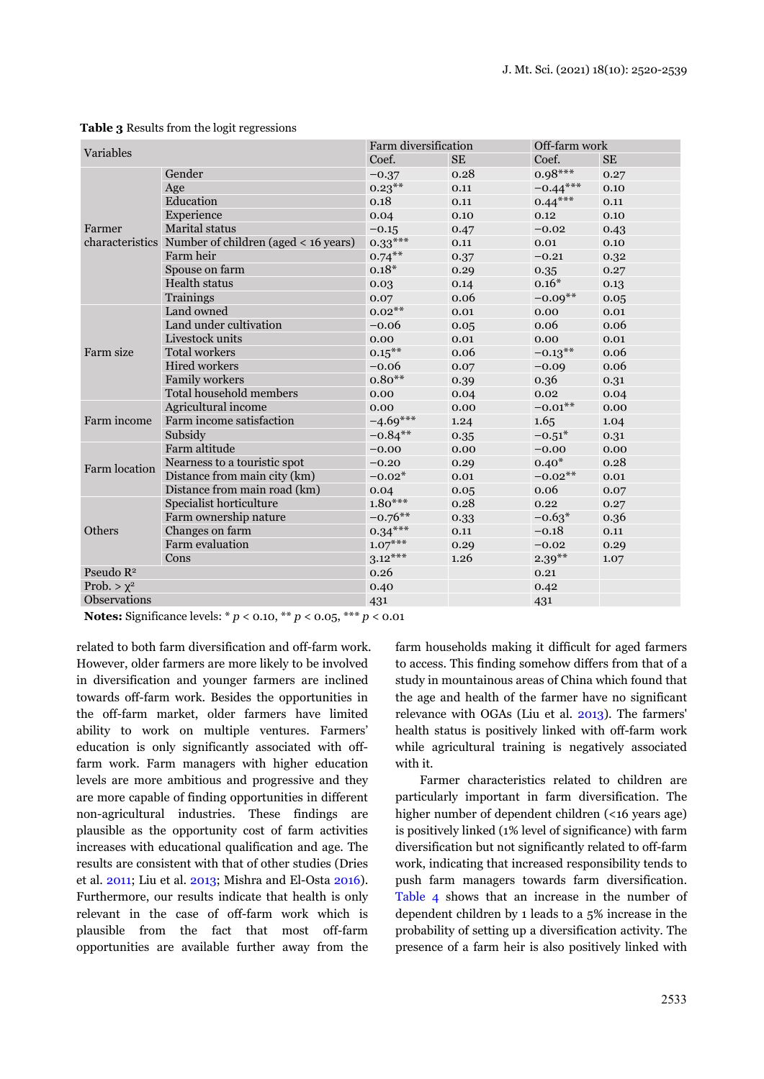| Variables             |                                                      | Farm diversification |           | Off-farm work |           |
|-----------------------|------------------------------------------------------|----------------------|-----------|---------------|-----------|
|                       |                                                      | Coef.                | <b>SE</b> | Coef.         | <b>SE</b> |
|                       | Gender                                               | $-0.37$              | 0.28      | $0.98***$     | 0.27      |
|                       | Age                                                  | $0.23***$            | 0.11      | $-0.44***$    | 0.10      |
|                       | Education                                            | 0.18                 | 0.11      | $0.44***$     | 0.11      |
|                       | Experience                                           | 0.04                 | 0.10      | 0.12          | 0.10      |
| Farmer                | <b>Marital</b> status                                | $-0.15$              | 0.47      | $-0.02$       | 0.43      |
|                       | characteristics Number of children (aged < 16 years) | $0.33***$            | 0.11      | 0.01          | 0.10      |
|                       | Farm heir                                            | $0.74***$            | 0.37      | $-0.21$       | 0.32      |
|                       | Spouse on farm                                       | $0.18*$              | 0.29      | 0.35          | 0.27      |
|                       | <b>Health status</b>                                 | 0.03                 | 0.14      | $0.16*$       | 0.13      |
|                       | Trainings                                            | 0.07                 | 0.06      | $-0.09**$     | 0.05      |
|                       | Land owned                                           | $0.02***$            | 0.01      | 0.00          | 0.01      |
|                       | Land under cultivation                               | $-0.06$              | 0.05      | 0.06          | 0.06      |
|                       | Livestock units                                      | 0.00                 | 0.01      | 0.00          | 0.01      |
| Farm size             | Total workers                                        | $0.15***$            | 0.06      | $-0.13***$    | 0.06      |
|                       | Hired workers                                        | $-0.06$              | 0.07      | $-0.09$       | 0.06      |
|                       | Family workers                                       | $0.80**$             | 0.39      | 0.36          | 0.31      |
|                       | Total household members                              | 0.00                 | 0.04      | 0.02          | 0.04      |
|                       | Agricultural income                                  | 0.00                 | 0.00      | $-0.01$ **    | 0.00      |
| Farm income           | Farm income satisfaction                             | $-4.69***$           | 1.24      | 1.65          | 1.04      |
|                       | Subsidy                                              | $-0.84**$            | 0.35      | $-0.51*$      | 0.31      |
|                       | Farm altitude                                        | $-0.00$              | 0.00      | $-0.00$       | 0.00      |
| Farm location         | Nearness to a touristic spot                         | $-0.20$              | 0.29      | $0.40*$       | 0.28      |
|                       | Distance from main city (km)                         | $-0.02*$             | 0.01      | $-0.02$ **    | 0.01      |
|                       | Distance from main road (km)                         | 0.04                 | 0.05      | 0.06          | 0.07      |
|                       | Specialist horticulture                              | $1.80***$            | 0.28      | 0.22          | 0.27      |
| Others                | Farm ownership nature                                | $-0.76**$            | 0.33      | $-0.63*$      | 0.36      |
|                       | Changes on farm                                      | $0.34***$            | $0.11\,$  | $-0.18$       | 0.11      |
|                       | Farm evaluation                                      | $1.07***$            | 0.29      | $-0.02$       | 0.29      |
|                       | Cons                                                 | $3.12***$            | 1.26      | $2.39***$     | 1.07      |
| Pseudo R <sup>2</sup> |                                                      | 0.26                 |           | 0.21          |           |
| Prob. $> \chi^2$      |                                                      | 0.40                 |           | 0.42          |           |
| Observations          |                                                      | 431                  |           | 431           |           |

#### **Table 3** Results from the logit regressions

**Notes:** Significance levels: \* *p* < 0.10, \*\* *p* < 0.05, \*\*\* *p* < 0.01

related to both farm diversification and off-farm work. However, older farmers are more likely to be involved in diversification and younger farmers are inclined towards off-farm work. Besides the opportunities in the off-farm market, older farmers have limited ability to work on multiple ventures. Farmers' education is only significantly associated with offfarm work. Farm managers with higher education levels are more ambitious and progressive and they are more capable of finding opportunities in different non-agricultural industries. These findings are plausible as the opportunity cost of farm activities increases with educational qualification and age. The results are consistent with that of other studies (Dries et al. 2011; Liu et al. 2013; Mishra and El-Osta 2016). Furthermore, our results indicate that health is only relevant in the case of off-farm work which is plausible from the fact that most off-farm opportunities are available further away from the

farm households making it difficult for aged farmers to access. This finding somehow differs from that of a study in mountainous areas of China which found that the age and health of the farmer have no significant relevance with OGAs (Liu et al. 2013). The farmers' health status is positively linked with off-farm work while agricultural training is negatively associated with it.

Farmer characteristics related to children are particularly important in farm diversification. The higher number of dependent children (<16 years age) is positively linked (1% level of significance) with farm diversification but not significantly related to off-farm work, indicating that increased responsibility tends to push farm managers towards farm diversification. Table 4 shows that an increase in the number of dependent children by 1 leads to a 5% increase in the probability of setting up a diversification activity. The presence of a farm heir is also positively linked with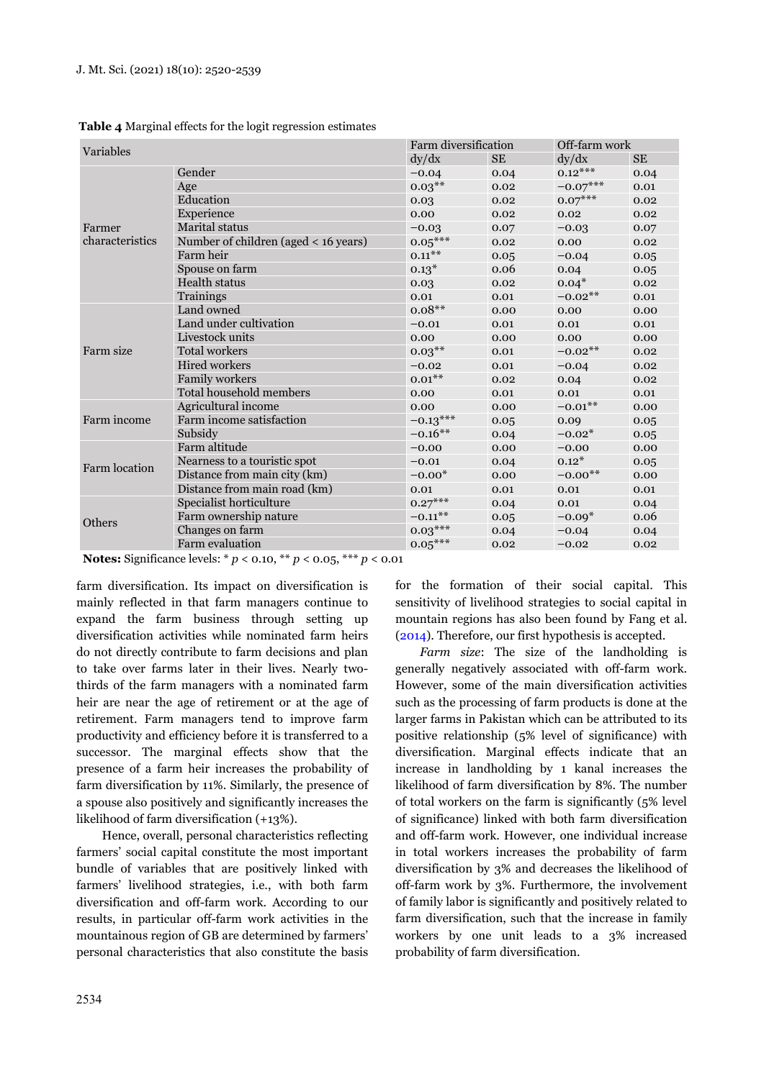|  |  |  |  | Table 4 Marginal effects for the logit regression estimates |  |
|--|--|--|--|-------------------------------------------------------------|--|
|  |  |  |  |                                                             |  |

| <b>Variables</b> |                                      |            | Farm diversification |            | Off-farm work |  |
|------------------|--------------------------------------|------------|----------------------|------------|---------------|--|
|                  |                                      | dy/dx      | <b>SE</b>            | dy/dx      | <b>SE</b>     |  |
|                  | Gender                               | $-0.04$    | 0.04                 | $0.12***$  | 0.04          |  |
|                  | Age                                  | $0.03***$  | 0.02                 | $-0.07***$ | 0.01          |  |
|                  | Education                            | 0.03       | 0.02                 | $0.07***$  | 0.02          |  |
|                  | Experience                           | 0.00       | 0.02                 | 0.02       | 0.02          |  |
| Farmer           | <b>Marital</b> status                | $-0.03$    | 0.07                 | $-0.03$    | 0.07          |  |
| characteristics  | Number of children (aged < 16 years) | $0.05***$  | 0.02                 | 0.00       | 0.02          |  |
|                  | Farm heir                            | $0.11***$  | 0.05                 | $-0.04$    | 0.05          |  |
|                  | Spouse on farm                       | $0.13*$    | 0.06                 | 0.04       | 0.05          |  |
|                  | Health status                        | 0.03       | 0.02                 | $0.04*$    | 0.02          |  |
|                  | Trainings                            | 0.01       | 0.01                 | $-0.02$ ** | 0.01          |  |
|                  | Land owned                           | $0.08**$   | 0.00                 | 0.00       | 0.00          |  |
|                  | Land under cultivation               | $-0.01$    | 0.01                 | 0.01       | 0.01          |  |
|                  | Livestock units                      | 0.00       | 0.00                 | 0.00       | 0.00          |  |
| Farm size        | <b>Total workers</b>                 | $0.03***$  | 0.01                 | $-0.02**$  | 0.02          |  |
|                  | <b>Hired workers</b>                 | $-0.02$    | 0.01                 | $-0.04$    | 0.02          |  |
|                  | <b>Family workers</b>                | $0.01***$  | 0.02                 | 0.04       | 0.02          |  |
|                  | Total household members              | 0.00       | 0.01                 | 0.01       | 0.01          |  |
|                  | Agricultural income                  | 0.00       | 0.00                 | $-0.01$ ** | 0.00          |  |
| Farm income      | Farm income satisfaction             | $-0.13***$ | 0.05                 | 0.09       | 0.05          |  |
|                  | Subsidy                              | $-0.16**$  | 0.04                 | $-0.02*$   | 0.05          |  |
|                  | Farm altitude                        | $-0.00$    | 0.00                 | $-0.00$    | 0.00          |  |
| Farm location    | Nearness to a touristic spot         | $-0.01$    | 0.04                 | $0.12*$    | 0.05          |  |
|                  | Distance from main city (km)         | $-0.00*$   | 0.00                 | $-0.00**$  | 0.00          |  |
|                  | Distance from main road (km)         | 0.01       | 0.01                 | 0.01       | 0.01          |  |
|                  | Specialist horticulture              | $0.27***$  | 0.04                 | 0.01       | 0.04          |  |
| <b>Others</b>    | Farm ownership nature                | $-0.11***$ | 0.05                 | $-0.09*$   | 0.06          |  |
|                  | Changes on farm                      | $0.03***$  | 0.04                 | $-0.04$    | 0.04          |  |
|                  | Farm evaluation                      | $0.05***$  | 0.02                 | $-0.02$    | 0.02          |  |

**Notes:** Significance levels: \* *p* < 0.10, \*\* *p* < 0.05, \*\*\* *p* < 0.01

farm diversification. Its impact on diversification is mainly reflected in that farm managers continue to expand the farm business through setting up diversification activities while nominated farm heirs do not directly contribute to farm decisions and plan to take over farms later in their lives. Nearly twothirds of the farm managers with a nominated farm heir are near the age of retirement or at the age of retirement. Farm managers tend to improve farm productivity and efficiency before it is transferred to a successor. The marginal effects show that the presence of a farm heir increases the probability of farm diversification by 11%. Similarly, the presence of a spouse also positively and significantly increases the likelihood of farm diversification (+13%).

Hence, overall, personal characteristics reflecting farmers' social capital constitute the most important bundle of variables that are positively linked with farmers' livelihood strategies, i.e., with both farm diversification and off-farm work. According to our results, in particular off-farm work activities in the mountainous region of GB are determined by farmers' personal characteristics that also constitute the basis for the formation of their social capital. This sensitivity of livelihood strategies to social capital in mountain regions has also been found by Fang et al. (2014). Therefore, our first hypothesis is accepted.

*Farm size*: The size of the landholding is generally negatively associated with off-farm work. However, some of the main diversification activities such as the processing of farm products is done at the larger farms in Pakistan which can be attributed to its positive relationship (5% level of significance) with diversification. Marginal effects indicate that an increase in landholding by 1 kanal increases the likelihood of farm diversification by 8%. The number of total workers on the farm is significantly (5% level of significance) linked with both farm diversification and off-farm work. However, one individual increase in total workers increases the probability of farm diversification by 3% and decreases the likelihood of off-farm work by 3%. Furthermore, the involvement of family labor is significantly and positively related to farm diversification, such that the increase in family workers by one unit leads to a 3% increased probability of farm diversification.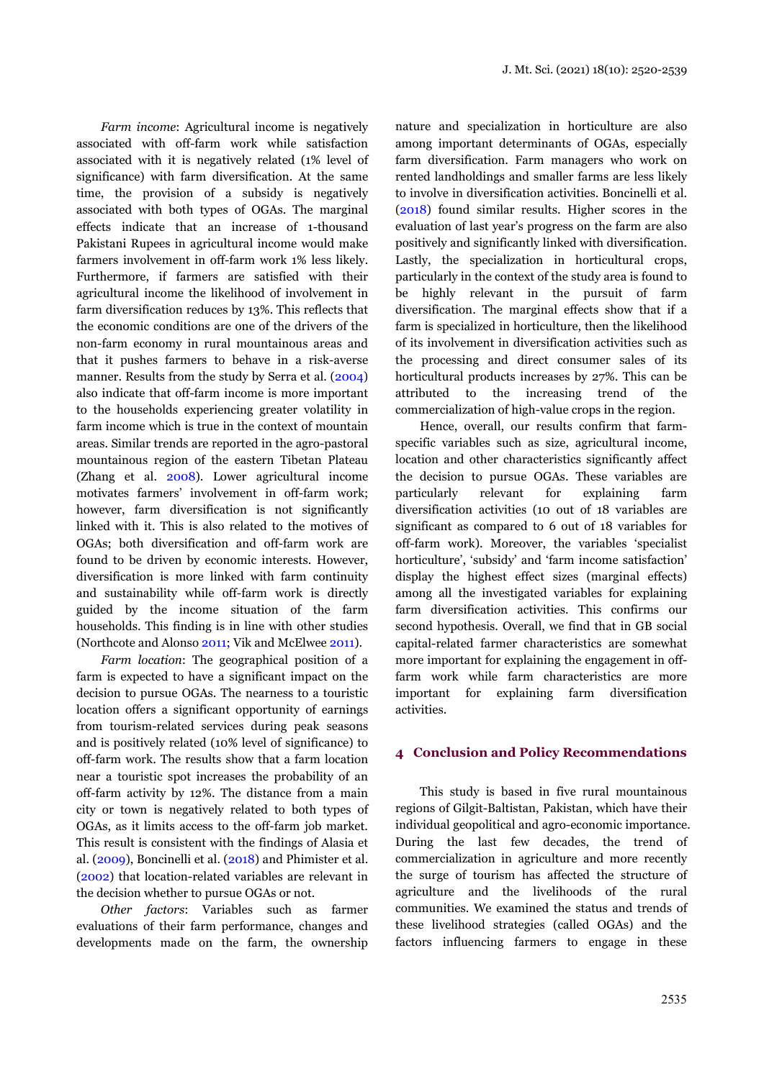*Farm income*: Agricultural income is negatively associated with off-farm work while satisfaction associated with it is negatively related (1% level of significance) with farm diversification. At the same time, the provision of a subsidy is negatively associated with both types of OGAs. The marginal effects indicate that an increase of 1-thousand Pakistani Rupees in agricultural income would make farmers involvement in off-farm work 1% less likely. Furthermore, if farmers are satisfied with their agricultural income the likelihood of involvement in farm diversification reduces by 13%. This reflects that the economic conditions are one of the drivers of the non-farm economy in rural mountainous areas and that it pushes farmers to behave in a risk-averse manner. Results from the study by Serra et al. (2004) also indicate that off-farm income is more important to the households experiencing greater volatility in farm income which is true in the context of mountain areas. Similar trends are reported in the agro-pastoral mountainous region of the eastern Tibetan Plateau (Zhang et al. 2008). Lower agricultural income motivates farmers' involvement in off-farm work; however, farm diversification is not significantly linked with it. This is also related to the motives of OGAs; both diversification and off-farm work are found to be driven by economic interests. However, diversification is more linked with farm continuity and sustainability while off-farm work is directly guided by the income situation of the farm households. This finding is in line with other studies (Northcote and Alonso 2011; Vik and McElwee 2011).

*Farm location*: The geographical position of a farm is expected to have a significant impact on the decision to pursue OGAs. The nearness to a touristic location offers a significant opportunity of earnings from tourism-related services during peak seasons and is positively related (10% level of significance) to off-farm work. The results show that a farm location near a touristic spot increases the probability of an off-farm activity by 12%. The distance from a main city or town is negatively related to both types of OGAs, as it limits access to the off-farm job market. This result is consistent with the findings of Alasia et al. (2009), Boncinelli et al. (2018) and Phimister et al. (2002) that location-related variables are relevant in the decision whether to pursue OGAs or not.

*Other factors*: Variables such as farmer evaluations of their farm performance, changes and developments made on the farm, the ownership nature and specialization in horticulture are also among important determinants of OGAs, especially farm diversification. Farm managers who work on rented landholdings and smaller farms are less likely to involve in diversification activities. Boncinelli et al. (2018) found similar results. Higher scores in the evaluation of last year's progress on the farm are also positively and significantly linked with diversification. Lastly, the specialization in horticultural crops, particularly in the context of the study area is found to be highly relevant in the pursuit of farm diversification. The marginal effects show that if a farm is specialized in horticulture, then the likelihood of its involvement in diversification activities such as the processing and direct consumer sales of its horticultural products increases by 27%. This can be attributed to the increasing trend of the commercialization of high-value crops in the region.

Hence, overall, our results confirm that farmspecific variables such as size, agricultural income, location and other characteristics significantly affect the decision to pursue OGAs. These variables are particularly relevant for explaining farm diversification activities (10 out of 18 variables are significant as compared to 6 out of 18 variables for off-farm work). Moreover, the variables 'specialist horticulture', 'subsidy' and 'farm income satisfaction' display the highest effect sizes (marginal effects) among all the investigated variables for explaining farm diversification activities. This confirms our second hypothesis. Overall, we find that in GB social capital-related farmer characteristics are somewhat more important for explaining the engagement in offfarm work while farm characteristics are more important for explaining farm diversification activities.

## **4 Conclusion and Policy Recommendations**

This study is based in five rural mountainous regions of Gilgit-Baltistan, Pakistan, which have their individual geopolitical and agro-economic importance. During the last few decades, the trend of commercialization in agriculture and more recently the surge of tourism has affected the structure of agriculture and the livelihoods of the rural communities. We examined the status and trends of these livelihood strategies (called OGAs) and the factors influencing farmers to engage in these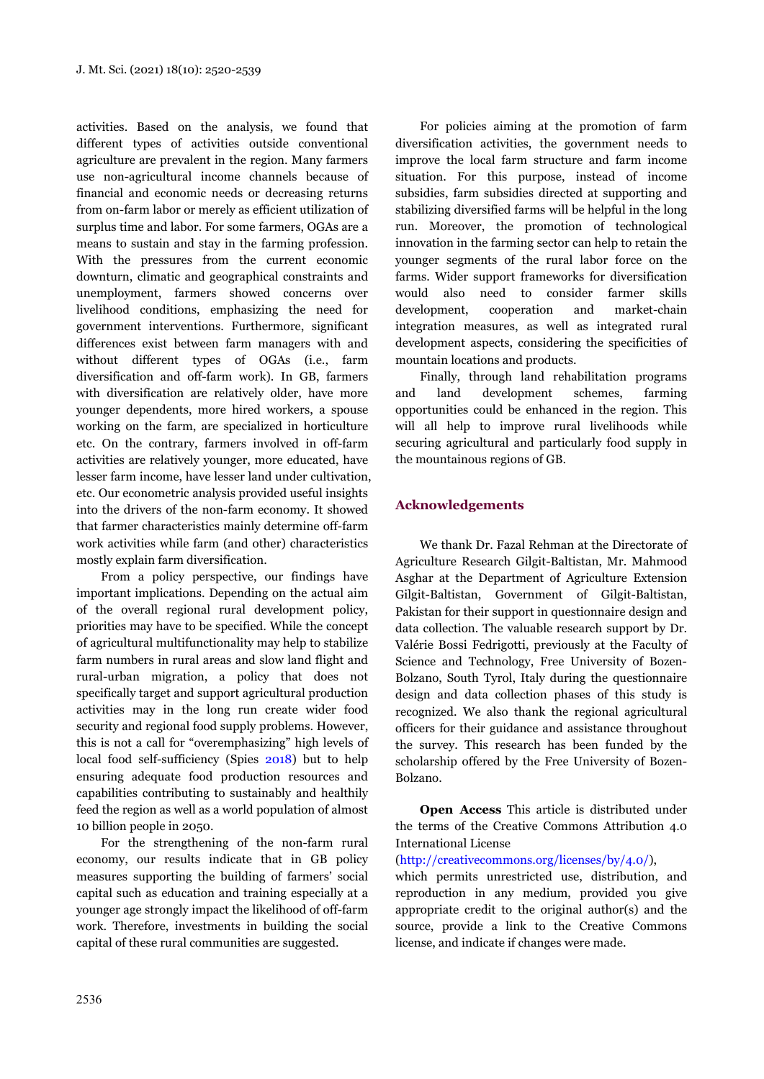activities. Based on the analysis, we found that different types of activities outside conventional agriculture are prevalent in the region. Many farmers use non-agricultural income channels because of financial and economic needs or decreasing returns from on-farm labor or merely as efficient utilization of surplus time and labor. For some farmers, OGAs are a means to sustain and stay in the farming profession. With the pressures from the current economic downturn, climatic and geographical constraints and unemployment, farmers showed concerns over livelihood conditions, emphasizing the need for government interventions. Furthermore, significant differences exist between farm managers with and without different types of OGAs (i.e., farm diversification and off-farm work). In GB, farmers with diversification are relatively older, have more younger dependents, more hired workers, a spouse working on the farm, are specialized in horticulture etc. On the contrary, farmers involved in off-farm activities are relatively younger, more educated, have lesser farm income, have lesser land under cultivation, etc. Our econometric analysis provided useful insights into the drivers of the non-farm economy. It showed that farmer characteristics mainly determine off-farm work activities while farm (and other) characteristics mostly explain farm diversification.

From a policy perspective, our findings have important implications. Depending on the actual aim of the overall regional rural development policy, priorities may have to be specified. While the concept of agricultural multifunctionality may help to stabilize farm numbers in rural areas and slow land flight and rural-urban migration, a policy that does not specifically target and support agricultural production activities may in the long run create wider food security and regional food supply problems. However, this is not a call for "overemphasizing" high levels of local food self-sufficiency (Spies 2018) but to help ensuring adequate food production resources and capabilities contributing to sustainably and healthily feed the region as well as a world population of almost 10 billion people in 2050.

For the strengthening of the non-farm rural economy, our results indicate that in GB policy measures supporting the building of farmers' social capital such as education and training especially at a younger age strongly impact the likelihood of off-farm work. Therefore, investments in building the social capital of these rural communities are suggested.

For policies aiming at the promotion of farm diversification activities, the government needs to improve the local farm structure and farm income situation. For this purpose, instead of income subsidies, farm subsidies directed at supporting and stabilizing diversified farms will be helpful in the long run. Moreover, the promotion of technological innovation in the farming sector can help to retain the younger segments of the rural labor force on the farms. Wider support frameworks for diversification would also need to consider farmer skills development, cooperation and market-chain integration measures, as well as integrated rural development aspects, considering the specificities of mountain locations and products.

Finally, through land rehabilitation programs and land development schemes, farming opportunities could be enhanced in the region. This will all help to improve rural livelihoods while securing agricultural and particularly food supply in the mountainous regions of GB.

## **Acknowledgements**

We thank Dr. Fazal Rehman at the Directorate of Agriculture Research Gilgit-Baltistan, Mr. Mahmood Asghar at the Department of Agriculture Extension Gilgit-Baltistan, Government of Gilgit-Baltistan, Pakistan for their support in questionnaire design and data collection. The valuable research support by Dr. Valérie Bossi Fedrigotti, previously at the Faculty of Science and Technology, Free University of Bozen-Bolzano, South Tyrol, Italy during the questionnaire design and data collection phases of this study is recognized. We also thank the regional agricultural officers for their guidance and assistance throughout the survey. This research has been funded by the scholarship offered by the Free University of Bozen-Bolzano.

**Open Access** This article is distributed under the terms of the Creative Commons Attribution 4.0 International License

(http://creativecommons.org/licenses/by/4.0/),

which permits unrestricted use, distribution, and reproduction in any medium, provided you give appropriate credit to the original author(s) and the source, provide a link to the Creative Commons license, and indicate if changes were made.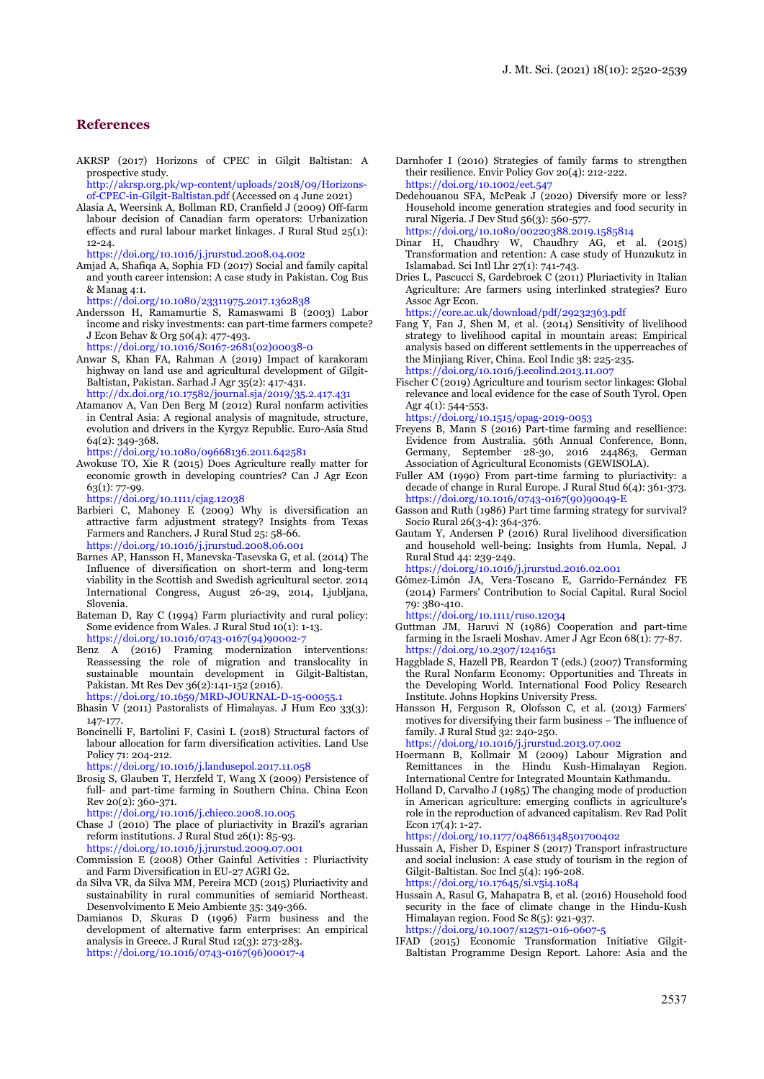#### **References**

AKRSP (2017) Horizons of CPEC in Gilgit Baltistan: A prospective study.

http://akrsp.org.pk/wp-content/uploads/2018/09/Horizonsof-CPEC-in-Gilgit-Baltistan.pdf (Accessed on 4 June 2021)

Alasia A, Weersink A, Bollman RD, Cranfield J (2009) Off-farm labour decision of Canadian farm operators: Urbanization effects and rural labour market linkages. J Rural Stud 25(1): 12-24.

https://doi.org/10.1016/j.jrurstud.2008.04.002

Amjad A, Shafiqa A, Sophia FD (2017) Social and family capital and youth career intension: A case study in Pakistan. Cog Bus & Manag 4:1.

https://doi.org/10.1080/23311975.2017.1362838

Andersson H, Ramamurtie S, Ramaswami B (2003) Labor income and risky investments: can part-time farmers compete? J Econ Behav & Org 50(4): 477-493. https://doi.org/10.1016/S0167-2681(02)00038-0

Anwar S, Khan FA, Rahman A (2019) Impact of karakoram highway on land use and agricultural development of Gilgit-Baltistan, Pakistan. Sarhad J Agr 35(2): 417-431. http://dx.doi.org/10.17582/journal.sja/2019/35.2.417.431

Atamanov A, Van Den Berg M (2012) Rural nonfarm activities in Central Asia: A regional analysis of magnitude, structure, evolution and drivers in the Kyrgyz Republic. Euro-Asia Stud 64(2): 349-368.

https://doi.org/10.1080/09668136.2011.642581

Awokuse TO, Xie R (2015) Does Agriculture really matter for economic growth in developing countries? Can J Agr Econ 63(1): 77-99.

https://doi.org/10.1111/cjag.12038

Barbieri C, Mahoney E (2009) Why is diversification an attractive farm adjustment strategy? Insights from Texas Farmers and Ranchers. J Rural Stud 25: 58-66.

https://doi.org/10.1016/j.jrurstud.2008.06.001

- Barnes AP, Hansson H, Manevska-Tasevska G, et al. (2014) The Influence of diversification on short-term and long-term viability in the Scottish and Swedish agricultural sector. 2014 International Congress, August 26-29, 2014, Ljubljana, Slovenia.
- Bateman D, Ray C (1994) Farm pluriactivity and rural policy: Some evidence from Wales. J Rural Stud 10(1): 1-13. https://doi.org/10.1016/0743-0167(94)90002-7
- Benz A (2016) Framing modernization interventions: Reassessing the role of migration and translocality in sustainable mountain development in Gilgit-Baltistan, Pakistan. Mt Res Dev 36(2):141-152 (2016). https://doi.org/10.1659/MRD-JOURNAL-D-15-00055.1

Bhasin  $V$  (2011) Pastoralists of Himalayas. J Hum Eco 33(3): 147-177.

Boncinelli F, Bartolini F, Casini L (2018) Structural factors of labour allocation for farm diversification activities. Land Use Policy 71: 204-212.

https://doi.org/10.1016/j.landusepol.2017.11.058

Brosig S, Glauben T, Herzfeld T, Wang X (2009) Persistence of full- and part-time farming in Southern China. China Econ Rev 20(2): 360-371.

https://doi.org/10.1016/j.chieco.2008.10.005

- Chase J (2010) The place of pluriactivity in Brazil's agrarian reform institutions. J Rural Stud  $26(1)$ : 85-93. https://doi.org/10.1016/j.jrurstud.2009.07.001
- Commission E (2008) Other Gainful Activities : Pluriactivity and Farm Diversification in EU-27 AGRI G2.
- da Silva VR, da Silva MM, Pereira MCD (2015) Pluriactivity and sustainability in rural communities of semiarid Northeast. Desenvolvimento E Meio Ambiente 35: 349-366.
- Damianos D, Skuras D (1996) Farm business and the development of alternative farm enterprises: An empirical analysis in Greece. J Rural Stud 12(3): 273-283. https://doi.org/10.1016/0743-0167(96)00017-4
- Darnhofer I (2010) Strategies of family farms to strengthen their resilience. Envir Policy Gov 20(4): 212-222. https://doi.org/10.1002/eet.547
- Dedehouanou SFA, McPeak J (2020) Diversify more or less? Household income generation strategies and food security in rural Nigeria. J Dev Stud 56(3): 560-577.

https://doi.org/10.1080/00220388.2019.1585814

- Dinar H, Chaudhry W, Chaudhry AG, et al. (2015) Transformation and retention: A case study of Hunzukutz in Islamabad. Sci Intl Lhr 27(1): 741-743.
- Dries L, Pascucci S, Gardebroek C (2011) Pluriactivity in Italian Agriculture: Are farmers using interlinked strategies? Euro Assoc Agr Econ.

https://core.ac.uk/download/pdf/29232363.pdf

- Fang Y, Fan J, Shen M, et al. (2014) Sensitivity of livelihood strategy to livelihood capital in mountain areas: Empirical analysis based on different settlements in the upperreaches of the Minjiang River, China. Ecol Indic 38: 225-235. https://doi.org/10.1016/j.ecolind.2013.11.007
- Fischer C (2019) Agriculture and tourism sector linkages: Global relevance and local evidence for the case of South Tyrol. Open Agr 4(1): 544-553.

https://doi.org/10.1515/opag-2019-0053

- Freyens B, Mann S (2016) Part-time farming and resellience: Evidence from Australia. 56th Annual Conference, Bonn, Germany, September 28-30, 2016 244863, German Association of Agricultural Economists (GEWISOLA).
- Fuller AM (1990) From part-time farming to pluriactivity: a decade of change in Rural Europe. J Rural Stud 6(4): 361-373. https://doi.org/10.1016/0743-0167(90)90049-E
- Gasson and Ruth (1986) Part time farming strategy for survival? Socio Rural 26(3-4): 364-376.
- Gautam Y, Andersen P (2016) Rural livelihood diversification and household well-being: Insights from Humla, Nepal. J Rural Stud 44: 239-249.

https://doi.org/10.1016/j.jrurstud.2016.02.001

Gómez-Limón JA, Vera-Toscano E, Garrido-Fernández FE (2014) Farmers' Contribution to Social Capital. Rural Sociol 79: 380-410.

https://doi.org/10.1111/ruso.12034

- Guttman JM, Haruvi N (1986) Cooperation and part-time farming in the Israeli Moshav. Amer J Agr Econ 68(1): 77-87. https://doi.org/10.2307/1241651
- Haggblade S, Hazell PB, Reardon T (eds.) (2007) Transforming the Rural Nonfarm Economy: Opportunities and Threats in the Developing World. International Food Policy Research Institute. Johns Hopkins University Press.
- Hansson H, Ferguson R, Olofsson C, et al. (2013) Farmers' motives for diversifying their farm business – The influence of family. J Rural Stud 32: 240-250.

https://doi.org/10.1016/j.jrurstud.2013.07.002

- Hoermann B, Kollmair M (2009) Labour Migration and Remittances in the Hindu Kush-Himalayan Region. International Centre for Integrated Mountain Kathmandu.
- Holland D, Carvalho J (1985) The changing mode of production in American agriculture: emerging conflicts in agriculture's role in the reproduction of advanced capitalism. Rev Rad Polit Econ 17(4): 1-27.

https://doi.org/10.1177/048661348501700402

Hussain A, Fisher D, Espiner S (2017) Transport infrastructure and social inclusion: A case study of tourism in the region of Gilgit-Baltistan. Soc Incl 5(4): 196-208. https://doi.org/10.17645/si.v5i4.1084

Hussain A, Rasul G, Mahapatra B, et al. (2016) Household food security in the face of climate change in the Hindu-Kush Himalayan region. Food Sc 8(5): 921-937.

https://doi.org/10.1007/s12571-016-0607-5

IFAD (2015) Economic Transformation Initiative Gilgit-Baltistan Programme Design Report. Lahore: Asia and the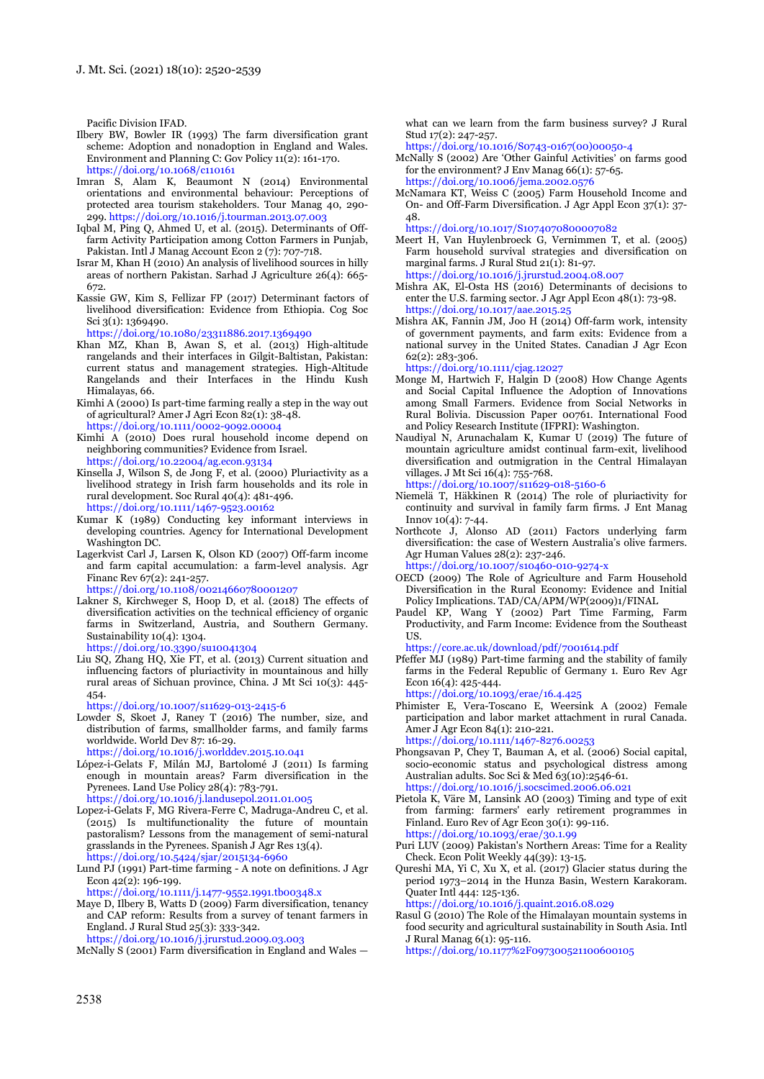Pacific Division IFAD.

- Ilbery BW, Bowler IR (1993) The farm diversification grant scheme: Adoption and nonadoption in England and Wales. Environment and Planning C: Gov Policy 11(2): 161-170. https://doi.org/10.1068/c110161
- Imran S, Alam K, Beaumont N (2014) Environmental orientations and environmental behaviour: Perceptions of protected area tourism stakeholders. Tour Manag 40, 290- 299. https://doi.org/10.1016/j.tourman.2013.07.003
- Iqbal M, Ping Q, Ahmed U, et al. (2015). Determinants of Offfarm Activity Participation among Cotton Farmers in Punjab, Pakistan. Intl J Manag Account Econ 2 (7): 707-718.
- Israr M, Khan H (2010) An analysis of livelihood sources in hilly areas of northern Pakistan. Sarhad J Agriculture 26(4): 665- 672.
- Kassie GW, Kim S, Fellizar FP (2017) Determinant factors of livelihood diversification: Evidence from Ethiopia. Cog Soc Sci 3(1): 1369490.

https://doi.org/10.1080/23311886.2017.1369490

- Khan MZ, Khan B, Awan S, et al. (2013) High-altitude rangelands and their interfaces in Gilgit-Baltistan, Pakistan: current status and management strategies. High-Altitude Rangelands and their Interfaces in the Hindu Kush Himalayas, 66.
- Kimhi A (2000) Is part-time farming really a step in the way out of agricultural? Amer J Agri Econ 82(1): 38-48. https://doi.org/10.1111/0002-9092.00004
- Kimhi A (2010) Does rural household income depend on neighboring communities? Evidence from Israel.
- https://doi.org/10.22004/ag.econ.93134 Kinsella J, Wilson S, de Jong F, et al. (2000) Pluriactivity as a livelihood strategy in Irish farm households and its role in rural development. Soc Rural 40(4): 481-496. https://doi.org/10.1111/1467-9523.00162
- Kumar K (1989) Conducting key informant interviews in developing countries. Agency for International Development Washington DC.
- Lagerkvist Carl J, Larsen K, Olson KD (2007) Off-farm income and farm capital accumulation: a farm-level analysis. Agr Financ Rev 67(2): 241-257.

https://doi.org/10.1108/00214660780001207

- Lakner S, Kirchweger S, Hoop D, et al. (2018) The effects of diversification activities on the technical efficiency of organic farms in Switzerland, Austria, and Southern Germany. Sustainability 10(4): 1304. https://doi.org/10.3390/su10041304
- Liu SQ, Zhang HQ, Xie FT, et al. (2013) Current situation and influencing factors of pluriactivity in mountainous and hilly rural areas of Sichuan province, China. J Mt Sci 10(3): 445- 454.

https://doi.org/10.1007/s11629-013-2415-6

Lowder S, Skoet J, Raney T (2016) The number, size, and distribution of farms, smallholder farms, and family farms worldwide. World Dev 87: 16-29.

https://doi.org/10.1016/j.worlddev.2015.10.041

- López-i-Gelats F, Milán MJ, Bartolomé J (2011) Is farming enough in mountain areas? Farm diversification in the Pyrenees. Land Use Policy 28(4): 783-791. https://doi.org/10.1016/j.landusepol.2011.01.005
- Lopez-i-Gelats F, MG Rivera-Ferre C, Madruga-Andreu C, et al. (2015) Is multifunctionality the future of mountain pastoralism? Lessons from the management of semi-natural grasslands in the Pyrenees. Spanish J Agr Res 13(4). https://doi.org/10.5424/sjar/2015134-6960
- Lund PJ (1991) Part-time farming A note on definitions. J Agr Econ 42(2): 196-199.

https://doi.org/10.1111/j.1477-9552.1991.tb00348.x

Maye D, Ilbery B, Watts D (2009) Farm diversification, tenancy and CAP reform: Results from a survey of tenant farmers in England. J Rural Stud 25(3): 333-342. https://doi.org/10.1016/j.jrurstud.2009.03.003

McNally S (2001) Farm diversification in England and Wales —

what can we learn from the farm business survey? J Rural Stud 17(2): 247-257.

https://doi.org/10.1016/S0743-0167(00)00050-4

- McNally S (2002) Are 'Other Gainful Activities' on farms good for the environment? J Env Manag 66(1): 57-65.
- https://doi.org/10.1006/jema.2002.0576 McNamara KT, Weiss C (2005) Farm Household Income and On- and Off-Farm Diversification. J Agr Appl Econ 37(1): 37- 48.

https://doi.org/10.1017/S1074070800007082

- Meert H, Van Huylenbroeck G, Vernimmen T, et al. (2005) Farm household survival strategies and diversification on marginal farms. J Rural Stud 21(1): 81-97. https://doi.org/10.1016/j.jrurstud.2004.08.007
- Mishra AK, El-Osta HS (2016) Determinants of decisions to enter the U.S. farming sector. J Agr Appl Econ 48(1): 73-98. https://doi.org/10.1017/aae.2015.2
- Mishra AK, Fannin JM, Joo H (2014) Off-farm work, intensity of government payments, and farm exits: Evidence from a national survey in the United States. Canadian J Agr Econ 62(2): 283-306.

https://doi.org/10.1111/cjag.12027

- Monge M, Hartwich F, Halgin D (2008) How Change Agents and Social Capital Influence the Adoption of Innovations among Small Farmers. Evidence from Social Networks in Rural Bolivia. Discussion Paper 00761. International Food and Policy Research Institute (IFPRI): Washington.
- Naudiyal N, Arunachalam K, Kumar U (2019) The future of mountain agriculture amidst continual farm-exit, livelihood diversification and outmigration in the Central Himalayan villages. J Mt Sci 16(4): 755-768.

https://doi.org/10.1007/s11629-018-5160-6

- Niemelä T, Häkkinen R (2014) The role of pluriactivity for continuity and survival in family farm firms. J Ent Manag  $Innov 10(4): 7-44.$
- Northcote J, Alonso AD (2011) Factors underlying farm diversification: the case of Western Australia's olive farmers. Agr Human Values 28(2): 237-246.

https://doi.org/10.1007/s10460-010-9274-x

- OECD (2009) The Role of Agriculture and Farm Household Diversification in the Rural Economy: Evidence and Initial Policy Implications. TAD/CA/APM/WP(2009)1/FINAL
- Paudel KP, Wang Y (2002) Part Time Farming, Farm Productivity, and Farm Income: Evidence from the Southeast US.

https://core.ac.uk/download/pdf/7001614.pdf

Pfeffer MJ (1989) Part-time farming and the stability of family farms in the Federal Republic of Germany 1. Euro Rev Agr Econ 16(4): 425-444.

https://doi.org/10.1093/erae/16.4.425

Phimister E, Vera-Toscano E, Weersink A (2002) Female participation and labor market attachment in rural Canada. Amer J Agr Econ 84(1): 210-221.

https://doi.org/10.1111/1467-8276.00253

Phongsavan P, Chey T, Bauman A, et al. (2006) Social capital, socio-economic status and psychological distress among Australian adults. Soc Sci & Med 63(10):2546-61. https://doi.org/10.1016/j.socscimed.2006.06.021

Pietola K, Väre M, Lansink AO (2003) Timing and type of exit from farming: farmers' early retirement programmes in

Finland. Euro Rev of Agr Econ 30(1): 99-116. https://doi.org/10.1093/erae/30.1.99

- Puri LUV (2009) Pakistan's Northern Areas: Time for a Reality Check. Econ Polit Weekly 44(39): 13-15.
- Qureshi MA, Yi C, Xu X, et al. (2017) Glacier status during the period 1973–2014 in the Hunza Basin, Western Karakoram. Quater Intl 444: 125-136.

https://doi.org/10.1016/j.quaint.2016.08.029

Rasul G (2010) The Role of the Himalayan mountain systems in food security and agricultural sustainability in South Asia. Intl J Rural Manag 6(1): 95-116.

https://doi.org/10.1177%2F097300521100600105